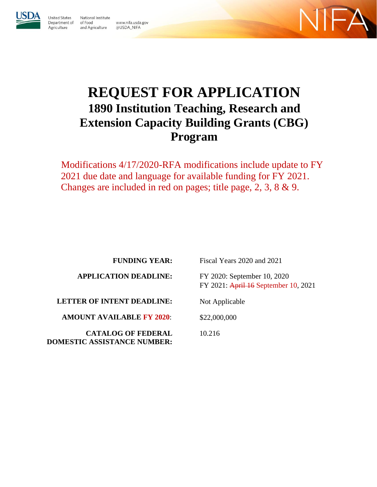

Agriculture

**Jnited States** National Institute Department of of Food and Agriculture @USDA\_NIFA

www.nifa.usda.gov



# **REQUEST FOR APPLICATION 1890 Institution Teaching, Research and Extension Capacity Building Grants (CBG) Program**

Modifications 4/17/2020-RFA modifications include update to FY 2021 due date and language for available funding for FY 2021. Changes are included in red on pages; title page, 2, 3, 8 & 9.

**FUNDING YEAR:** 

**APPLICATION DEADLINE:**

**LETTER OF INTENT DEADLINE:**

**AMOUNT AVAILABLE FY 2020**:

**CATALOG OF FEDERAL DOMESTIC ASSISTANCE NUMBER:**

Fiscal Years 2020 and 2021

FY 2020: September 10, 2020 FY 2021: April 16 September 10, 2021

Not Applicable

\$22,000,000

10.216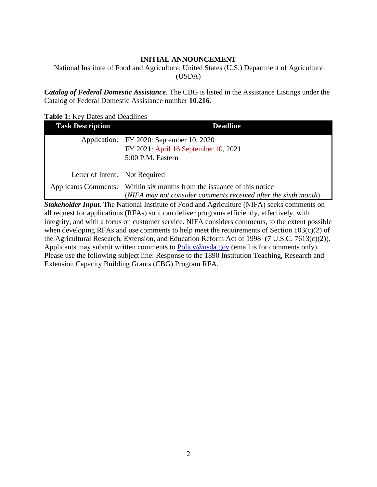## **INITIAL ANNOUNCEMENT**

<span id="page-1-0"></span>National Institute of Food and Agriculture, United States (U.S.) Department of Agriculture (USDA)

*Catalog of Federal Domestic Assistance.* The CBG is listed in the Assistance Listings under the Catalog of Federal Domestic Assistance number **10.216**.

<span id="page-1-1"></span>**Table 1:** Key Dates and Deadlines

| <b>Task Description</b>        | <b>Deadline</b>                                                         |
|--------------------------------|-------------------------------------------------------------------------|
|                                | Application: FY 2020: September 10, 2020                                |
|                                | FY 2021: April 16-September 10, 2021                                    |
|                                | 5:00 P.M. Eastern                                                       |
|                                |                                                                         |
| Letter of Intent: Not Required |                                                                         |
|                                | Applicants Comments: Within six months from the issuance of this notice |
|                                | (NIFA may not consider comments received after the sixth month)         |

*Stakeholder Input*. The National Institute of Food and Agriculture (NIFA) seeks comments on all request for applications (RFAs) so it can deliver programs efficiently, effectively, with integrity, and with a focus on customer service. NIFA considers comments, to the extent possible when developing RFAs and use comments to help meet the requirements of Section 103(c)(2) of the Agricultural Research, Extension, and Education Reform Act of 1998 (7 U.S.C. 7613(c)(2)). Applicants may submit written comments to [Policy@usda.gov](mailto:Policy@usda.gov) (email is for comments only). Please use the following subject line: Response to the 1890 Institution Teaching, Research and Extension Capacity Building Grants (CBG) Program RFA.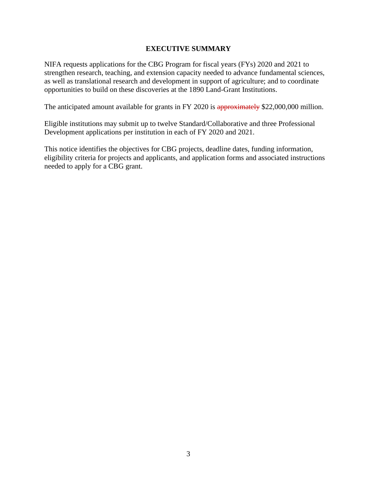#### **EXECUTIVE SUMMARY**

<span id="page-2-0"></span>NIFA requests applications for the CBG Program for fiscal years (FYs) 2020 and 2021 to strengthen research, teaching, and extension capacity needed to advance fundamental sciences, as well as translational research and development in support of agriculture; and to coordinate opportunities to build on these discoveries at the 1890 Land-Grant Institutions.

The anticipated amount available for grants in FY 2020 is approximately \$22,000,000 million.

Eligible institutions may submit up to twelve Standard/Collaborative and three Professional Development applications per institution in each of FY 2020 and 2021.

This notice identifies the objectives for CBG projects, deadline dates, funding information, eligibility criteria for projects and applicants, and application forms and associated instructions needed to apply for a CBG grant.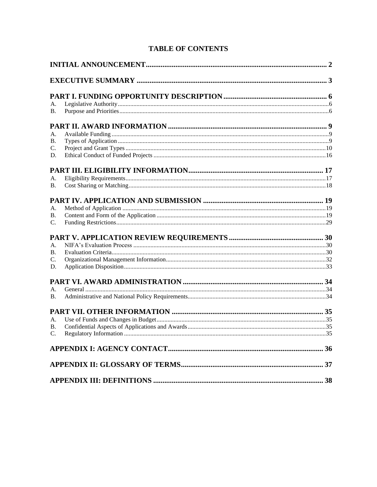# **TABLE OF CONTENTS**

| А.              |  |
|-----------------|--|
| В.              |  |
|                 |  |
| А.              |  |
| <b>B.</b>       |  |
| C.              |  |
| D.              |  |
|                 |  |
| А.              |  |
| <b>B.</b>       |  |
|                 |  |
| А.              |  |
| <b>B.</b>       |  |
| $\mathcal{C}$ . |  |
|                 |  |
| А.              |  |
| B.              |  |
| $\mathcal{C}$ . |  |
| D.              |  |
|                 |  |
| A.              |  |
| <b>B.</b>       |  |
|                 |  |
| А.              |  |
| <b>B.</b>       |  |
| C.              |  |
|                 |  |
|                 |  |
|                 |  |
|                 |  |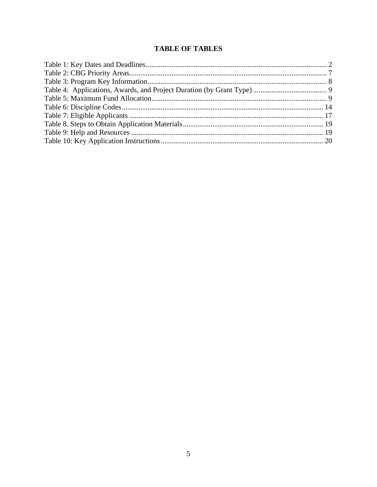# **TABLE OF TABLES**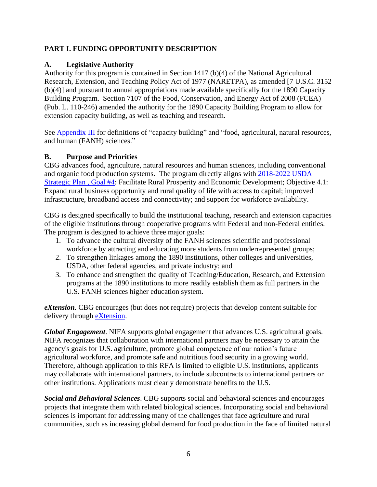## <span id="page-5-0"></span>**PART I. FUNDING OPPORTUNITY DESCRIPTION**

## <span id="page-5-1"></span>**A. Legislative Authority**

Authority for this program is contained in Section 1417 (b)(4) of the National Agricultural Research, Extension, and Teaching Policy Act of 1977 (NARETPA), as amended [7 U.S.C. 3152 (b)(4)] and pursuant to annual appropriations made available specifically for the 1890 Capacity Building Program. Section 7107 of the Food, Conservation, and Energy Act of 2008 (FCEA) (Pub. L. 110-246) amended the authority for the 1890 Capacity Building Program to allow for extension capacity building, as well as teaching and research.

See **Appendix III** for definitions of "capacity building" and "food, agricultural, natural resources, and human (FANH) sciences."

## <span id="page-5-2"></span>**B. Purpose and Priorities**

CBG advances food, agriculture, natural resources and human sciences, including conventional and organic food production systems. The program directly aligns with [2018-2022 USDA](http://www.usda.gov/our-agency/about-usda/strategic-goals)  [Strategic Plan](http://www.usda.gov/our-agency/about-usda/strategic-goals) , Goal #4: Facilitate Rural Prosperity and Economic Development; Objective 4.1: Expand rural business opportunity and rural quality of life with access to capital; improved infrastructure, broadband access and connectivity; and support for workforce availability.

CBG is designed specifically to build the institutional teaching, research and extension capacities of the eligible institutions through cooperative programs with Federal and non-Federal entities. The program is designed to achieve three major goals:

- 1. To advance the cultural diversity of the FANH sciences scientific and professional workforce by attracting and educating more students from underrepresented groups;
- 2. To strengthen linkages among the 1890 institutions, other colleges and universities, USDA, other federal agencies, and private industry; and
- 3. To enhance and strengthen the quality of Teaching/Education, Research, and Extension programs at the 1890 institutions to more readily establish them as full partners in the U.S. FANH sciences higher education system.

*eXtension.* CBG encourages (but does not require) projects that develop content suitable for delivery through **eXtension**.

*Global Engagement*. NIFA supports global engagement that advances U.S. agricultural goals. NIFA recognizes that collaboration with international partners may be necessary to attain the agency's goals for U.S. agriculture, promote global competence of our nation's future agricultural workforce, and promote safe and nutritious food security in a growing world. Therefore, although application to this RFA is limited to eligible U.S. institutions, applicants may collaborate with international partners, to include subcontracts to international partners or other institutions. Applications must clearly demonstrate benefits to the U.S.

*Social and Behavioral Sciences*. CBG supports social and behavioral sciences and encourages projects that integrate them with related biological sciences. Incorporating social and behavioral sciences is important for addressing many of the challenges that face agriculture and rural communities, such as increasing global demand for food production in the face of limited natural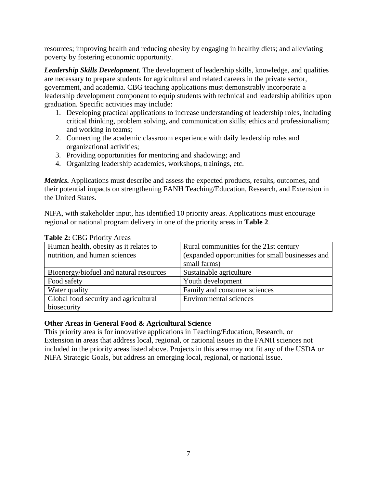resources; improving health and reducing obesity by engaging in healthy diets; and alleviating poverty by fostering economic opportunity.

*Leadership Skills Development*. The development of leadership skills, knowledge, and qualities are necessary to prepare students for agricultural and related careers in the private sector, government, and academia. CBG teaching applications must demonstrably incorporate a leadership development component to equip students with technical and leadership abilities upon graduation. Specific activities may include:

- 1. Developing practical applications to increase understanding of leadership roles, including critical thinking, problem solving, and communication skills; ethics and professionalism; and working in teams;
- 2. Connecting the academic classroom experience with daily leadership roles and organizational activities;
- 3. Providing opportunities for mentoring and shadowing; and
- 4. Organizing leadership academies, workshops, trainings, etc.

*Metrics.* Applications must describe and assess the expected products, results, outcomes, and their potential impacts on strengthening FANH Teaching/Education, Research, and Extension in the United States.

NIFA, with stakeholder input, has identified 10 priority areas. Applications must encourage regional or national program delivery in one of the priority areas in **Table 2**.

| Human health, obesity as it relates to  | Rural communities for the 21st century           |
|-----------------------------------------|--------------------------------------------------|
|                                         |                                                  |
| nutrition, and human sciences           | (expanded opportunities for small businesses and |
|                                         | small farms)                                     |
| Bioenergy/biofuel and natural resources | Sustainable agriculture                          |
| Food safety                             | Youth development                                |
| Water quality                           | Family and consumer sciences                     |
| Global food security and agricultural   | <b>Environmental sciences</b>                    |
| biosecurity                             |                                                  |

#### <span id="page-6-0"></span>**Table 2:** CBG Priority Areas

#### **Other Areas in General Food & Agricultural Science**

<span id="page-6-1"></span>This priority area is for innovative applications in Teaching/Education, Research, or Extension in areas that address local, regional, or national issues in the FANH sciences not included in the priority areas listed above. Projects in this area may not fit any of the USDA or NIFA Strategic Goals, but address an emerging local, regional, or national issue.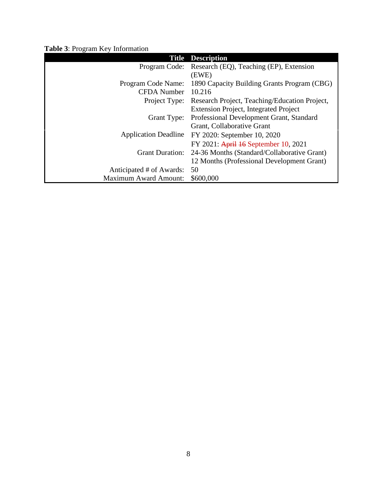|  |  |  |  |  | Table 3: Program Key Information |  |
|--|--|--|--|--|----------------------------------|--|
|--|--|--|--|--|----------------------------------|--|

| <b>Title</b>                 | <b>Description</b>                            |
|------------------------------|-----------------------------------------------|
| Program Code:                | Research (EQ), Teaching (EP), Extension       |
|                              | (EWE)                                         |
| Program Code Name:           | 1890 Capacity Building Grants Program (CBG)   |
| <b>CFDA</b> Number           | 10.216                                        |
| Project Type:                | Research Project, Teaching/Education Project, |
|                              | <b>Extension Project, Integrated Project</b>  |
| Grant Type:                  | Professional Development Grant, Standard      |
|                              | Grant, Collaborative Grant                    |
| <b>Application Deadline</b>  | FY 2020: September 10, 2020                   |
|                              | FY 2021: April 16 September 10, 2021          |
| <b>Grant Duration:</b>       | 24-36 Months (Standard/Collaborative Grant)   |
|                              | 12 Months (Professional Development Grant)    |
| Anticipated # of Awards:     | 50                                            |
| <b>Maximum Award Amount:</b> | \$600,000                                     |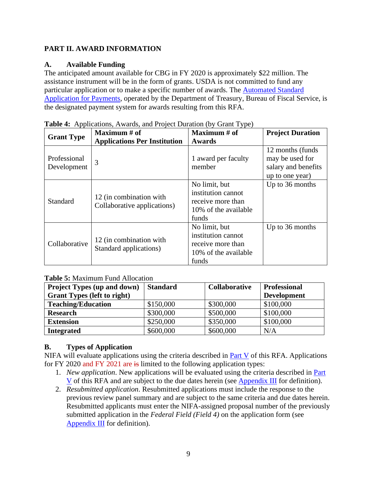# <span id="page-8-0"></span>**PART II. AWARD INFORMATION**

# <span id="page-8-1"></span>**A. Available Funding**

The anticipated amount available for CBG in FY 2020 is approximately \$22 million. The assistance instrument will be in the form of grants. USDA is not committed to fund any particular application or to make a specific number of awards. The [Automated Standard](https://www.fiscal.treasury.gov/fsservices/gov/pmt/asap/asap_home.htm)  [Application for Payments,](https://www.fiscal.treasury.gov/fsservices/gov/pmt/asap/asap_home.htm) operated by the Department of Treasury, Bureau of Fiscal Service, is the designated payment system for awards resulting from this RFA.

|                             | Maximum $#$ of                                         | Maximum # of                                                                              | <b>Project Duration</b>                                                        |
|-----------------------------|--------------------------------------------------------|-------------------------------------------------------------------------------------------|--------------------------------------------------------------------------------|
| <b>Grant Type</b>           | <b>Applications Per Institution</b>                    | <b>Awards</b>                                                                             |                                                                                |
| Professional<br>Development | 3                                                      | 1 award per faculty<br>member                                                             | 12 months (funds)<br>may be used for<br>salary and benefits<br>up to one year) |
| Standard                    | 12 (in combination with<br>Collaborative applications) | No limit, but<br>institution cannot<br>receive more than<br>10% of the available<br>funds | Up to 36 months                                                                |
| Collaborative               | 12 (in combination with<br>Standard applications)      | No limit, but<br>institution cannot<br>receive more than<br>10% of the available<br>funds | Up to 36 months                                                                |

<span id="page-8-3"></span>**Table 4:** Applications, Awards, and Project Duration (by Grant Type)

## <span id="page-8-4"></span>**Table 5:** Maximum Fund Allocation

| <b>Project Types (up and down)</b> | <b>Standard</b> | <b>Collaborative</b> | <b>Professional</b> |
|------------------------------------|-----------------|----------------------|---------------------|
| <b>Grant Types (left to right)</b> |                 |                      | <b>Development</b>  |
| <b>Teaching/Education</b>          | \$150,000       | \$300,000            | \$100,000           |
| <b>Research</b>                    | \$300,000       | \$500,000            | \$100,000           |
| <b>Extension</b>                   | \$250,000       | \$350,000            | \$100,000           |
| <b>Integrated</b>                  | \$600,000       | \$600,000            | N/A                 |

# <span id="page-8-2"></span>**B. Types of Application**

NIFA will evaluate applications using the criteria described in [Part V](#page-29-2) of this RFA. Applications for FY 2020 and FY 2021 are is limited to the following application types:

- 1. *New application*. New applications will be evaluated using the criteria described in [Part](#page-29-2)  [V](#page-29-2) of this RFA and are subject to the due dates herein (see [Appendix III](#page-37-0) for definition).
- 2. *Resubmitted application*. Resubmitted applications must include the response to the previous review panel summary and are subject to the same criteria and due dates herein. Resubmitted applicants must enter the NIFA-assigned proposal number of the previously submitted application in the *Federal Field (Field 4)* on the application form (see [Appendix III](#page-37-0) for definition).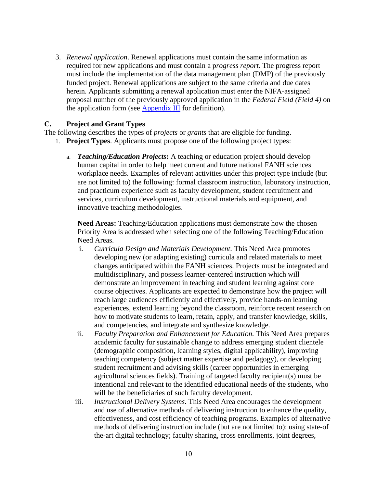3. *Renewal application*. Renewal applications must contain the same information as required for new applications and must contain a p*rogress report*. The progress report must include the implementation of the data management plan (DMP) of the previously funded project. Renewal applications are subject to the same criteria and due dates herein. Applicants submitting a renewal application must enter the NIFA-assigned proposal number of the previously approved application in the *Federal Field (Field 4)* on the application form (see [Appendix III](#page-37-0) for definition).

#### <span id="page-9-0"></span>**C. Project and Grant Types**

The following describes the types of *projects* or *grants* that are eligible for funding.

- 1. **Project Types**. Applicants must propose one of the following project types:
	- a. *Teaching/Education Projects***:** A teaching or education project should develop human capital in order to help meet current and future national FANH sciences workplace needs. Examples of relevant activities under this project type include (but are not limited to) the following: formal classroom instruction, laboratory instruction, and practicum experience such as faculty development, student recruitment and services, curriculum development, instructional materials and equipment, and innovative teaching methodologies.

**Need Areas:** Teaching/Education applications must demonstrate how the chosen Priority Area is addressed when selecting one of the following Teaching/Education Need Areas.

- i. *Curricula Design and Materials Development.* This Need Area promotes developing new (or adapting existing) curricula and related materials to meet changes anticipated within the FANH sciences. Projects must be integrated and multidisciplinary, and possess learner-centered instruction which will demonstrate an improvement in teaching and student learning against core course objectives. Applicants are expected to demonstrate how the project will reach large audiences efficiently and effectively, provide hands-on learning experiences, extend learning beyond the classroom, reinforce recent research on how to motivate students to learn, retain, apply, and transfer knowledge, skills, and competencies, and integrate and synthesize knowledge.
- ii. *Faculty Preparation and Enhancement for Education.* This Need Area prepares academic faculty for sustainable change to address emerging student clientele (demographic composition, learning styles, digital applicability), improving teaching competency (subject matter expertise and pedagogy), or developing student recruitment and advising skills (career opportunities in emerging agricultural sciences fields). Training of targeted faculty recipient(s) must be intentional and relevant to the identified educational needs of the students, who will be the beneficiaries of such faculty development.
- iii. *Instructional Delivery Systems.* This Need Area encourages the development and use of alternative methods of delivering instruction to enhance the quality, effectiveness, and cost efficiency of teaching programs. Examples of alternative methods of delivering instruction include (but are not limited to): using state-of the-art digital technology; faculty sharing, cross enrollments, joint degrees,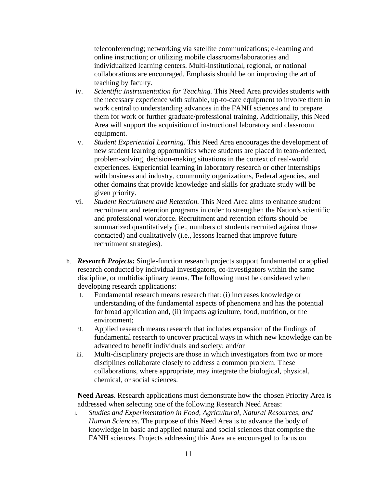teleconferencing; networking via satellite communications; e-learning and online instruction; or utilizing mobile classrooms/laboratories and individualized learning centers. Multi-institutional, regional, or national collaborations are encouraged. Emphasis should be on improving the art of teaching by faculty.

- iv. *Scientific Instrumentation for Teaching.* This Need Area provides students with the necessary experience with suitable, up-to-date equipment to involve them in work central to understanding advances in the FANH sciences and to prepare them for work or further graduate/professional training. Additionally, this Need Area will support the acquisition of instructional laboratory and classroom equipment.
- v. *Student Experiential Learning.* This Need Area encourages the development of new student learning opportunities where students are placed in team-oriented, problem-solving, decision-making situations in the context of real-world experiences. Experiential learning in laboratory research or other internships with business and industry, community organizations, Federal agencies, and other domains that provide knowledge and skills for graduate study will be given priority.
- vi. *Student Recruitment and Retention.* This Need Area aims to enhance student recruitment and retention programs in order to strengthen the Nation's scientific and professional workforce. Recruitment and retention efforts should be summarized quantitatively (i.e., numbers of students recruited against those contacted) and qualitatively (i.e., lessons learned that improve future recruitment strategies).
- b. *Research Projects***:** Single-function research projects support fundamental or applied research conducted by individual investigators, co-investigators within the same discipline, or multidisciplinary teams. The following must be considered when developing research applications:
	- i. Fundamental research means research that: (i) increases knowledge or understanding of the fundamental aspects of phenomena and has the potential for broad application and, (ii) impacts agriculture, food, nutrition, or the environment;
	- ii. Applied research means research that includes expansion of the findings of fundamental research to uncover practical ways in which new knowledge can be advanced to benefit individuals and society; and/or
	- iii. Multi-disciplinary projects are those in which investigators from two or more disciplines collaborate closely to address a common problem. These collaborations, where appropriate, may integrate the biological, physical, chemical, or social sciences.

**Need Areas**. Research applications must demonstrate how the chosen Priority Area is addressed when selecting one of the following Research Need Areas:

i. *Studies and Experimentation in Food, Agricultural, Natural Resources, and Human Sciences*. The purpose of this Need Area is to advance the body of knowledge in basic and applied natural and social sciences that comprise the FANH sciences. Projects addressing this Area are encouraged to focus on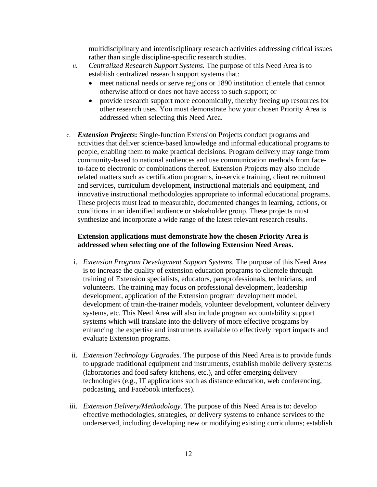multidisciplinary and interdisciplinary research activities addressing critical issues rather than single discipline-specific research studies.

- *ii. Centralized Research Support Systems.* The purpose of this Need Area is to establish centralized research support systems that:
	- meet national needs or serve regions or 1890 institution clientele that cannot otherwise afford or does not have access to such support; or
	- provide research support more economically, thereby freeing up resources for other research uses. You must demonstrate how your chosen Priority Area is addressed when selecting this Need Area.
- c. *Extension Projects***:** Single-function Extension Projects conduct programs and activities that deliver science-based knowledge and informal educational programs to people, enabling them to make practical decisions. Program delivery may range from community-based to national audiences and use communication methods from faceto-face to electronic or combinations thereof. Extension Projects may also include related matters such as certification programs, in-service training, client recruitment and services, curriculum development, instructional materials and equipment, and innovative instructional methodologies appropriate to informal educational programs. These projects must lead to measurable, documented changes in learning, actions, or conditions in an identified audience or stakeholder group. These projects must synthesize and incorporate a wide range of the latest relevant research results.

#### **Extension applications must demonstrate how the chosen Priority Area is addressed when selecting one of the following Extension Need Areas.**

- i. *Extension Program Development Support Systems.* The purpose of this Need Area is to increase the quality of extension education programs to clientele through training of Extension specialists, educators, paraprofessionals, technicians, and volunteers. The training may focus on professional development, leadership development, application of the Extension program development model, development of train-the-trainer models, volunteer development, volunteer delivery systems, etc. This Need Area will also include program accountability support systems which will translate into the delivery of more effective programs by enhancing the expertise and instruments available to effectively report impacts and evaluate Extension programs.
- ii. *Extension Technology Upgrades.* The purpose of this Need Area is to provide funds to upgrade traditional equipment and instruments, establish mobile delivery systems (laboratories and food safety kitchens, etc.), and offer emerging delivery technologies (e.g., IT applications such as distance education, web conferencing, podcasting, and Facebook interfaces).
- iii. *Extension Delivery/Methodology.* The purpose of this Need Area is to: develop effective methodologies, strategies, or delivery systems to enhance services to the underserved, including developing new or modifying existing curriculums; establish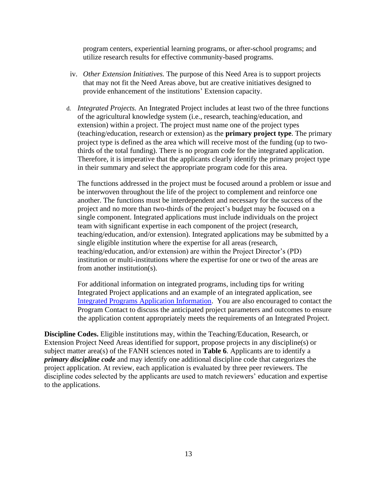program centers, experiential learning programs, or after-school programs; and utilize research results for effective community-based programs.

- iv. *Other Extension Initiatives.* The purpose of this Need Area is to support projects that may not fit the Need Areas above, but are creative initiatives designed to provide enhancement of the institutions' Extension capacity.
- d. *Integrated Projects.* An Integrated Project includes at least two of the three functions of the agricultural knowledge system (i.e., research, teaching/education, and extension) within a project. The project must name one of the project types (teaching/education, research or extension) as the **primary project type**. The primary project type is defined as the area which will receive most of the funding (up to twothirds of the total funding). There is no program code for the integrated application. Therefore, it is imperative that the applicants clearly identify the primary project type in their summary and select the appropriate program code for this area.

The functions addressed in the project must be focused around a problem or issue and be interwoven throughout the life of the project to complement and reinforce one another. The functions must be interdependent and necessary for the success of the project and no more than two-thirds of the project's budget may be focused on a single component. Integrated applications must include individuals on the project team with significant expertise in each component of the project (research, teaching/education, and/or extension). Integrated applications may be submitted by a single eligible institution where the expertise for all areas (research, teaching/education, and/or extension) are within the Project Director's (PD) institution or multi-institutions where the expertise for one or two of the areas are from another institution(s).

For additional information on integrated programs, including tips for writing Integrated Project applications and an example of an integrated application, see [Integrated Programs Application Information.](https://nifa.usda.gov/resource/integrated-programs-application-information) You are also encouraged to contact the Program Contact to discuss the anticipated project parameters and outcomes to ensure the application content appropriately meets the requirements of an Integrated Project.

**Discipline Codes.** Eligible institutions may, within the Teaching/Education, Research, or Extension Project Need Areas identified for support, propose projects in any discipline(s) or subject matter area(s) of the FANH sciences noted in **Table 6**. Applicants are to identify a *primary discipline code* and may identify one additional discipline code that categorizes the project application. At review, each application is evaluated by three peer reviewers. The discipline codes selected by the applicants are used to match reviewers' education and expertise to the applications.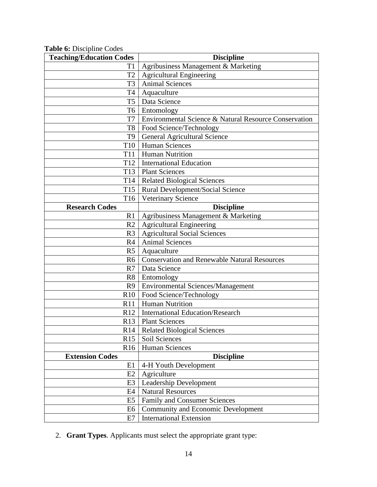<span id="page-13-0"></span>

|  |  |  |  | Table 6: Discipline Codes |
|--|--|--|--|---------------------------|
|--|--|--|--|---------------------------|

| <b>Teaching/Education Codes</b> | <b>Discipline</b>                                     |
|---------------------------------|-------------------------------------------------------|
| T1                              | Agribusiness Management & Marketing                   |
| T <sub>2</sub>                  | <b>Agricultural Engineering</b>                       |
| T <sub>3</sub>                  | <b>Animal Sciences</b>                                |
| <b>T4</b>                       | Aquaculture                                           |
| T <sub>5</sub>                  | Data Science                                          |
| T <sub>6</sub>                  | Entomology                                            |
| T7                              | Environmental Science & Natural Resource Conservation |
| T <sub>8</sub>                  | Food Science/Technology                               |
| T <sub>9</sub>                  | <b>General Agricultural Science</b>                   |
| T <sub>10</sub>                 | <b>Human Sciences</b>                                 |
| <b>T11</b>                      | <b>Human Nutrition</b>                                |
| T <sub>12</sub>                 | <b>International Education</b>                        |
| T <sub>13</sub>                 | <b>Plant Sciences</b>                                 |
| T <sub>14</sub>                 | <b>Related Biological Sciences</b>                    |
| T <sub>15</sub>                 | Rural Development/Social Science                      |
| T16                             | <b>Veterinary Science</b>                             |
| <b>Research Codes</b>           | <b>Discipline</b>                                     |
| R1                              | Agribusiness Management & Marketing                   |
| R <sub>2</sub>                  | <b>Agricultural Engineering</b>                       |
| R <sub>3</sub>                  | <b>Agricultural Social Sciences</b>                   |
| R4                              | <b>Animal Sciences</b>                                |
| R <sub>5</sub>                  | Aquaculture                                           |
| R <sub>6</sub>                  | <b>Conservation and Renewable Natural Resources</b>   |
| R7                              | Data Science                                          |
| R <sub>8</sub>                  | Entomology                                            |
| R <sub>9</sub>                  | <b>Environmental Sciences/Management</b>              |
| R10                             | Food Science/Technology                               |
| R11                             | <b>Human Nutrition</b>                                |
| R12                             | <b>International Education/Research</b>               |
| R13                             | <b>Plant Sciences</b>                                 |
| R <sub>14</sub>                 | <b>Related Biological Sciences</b>                    |
| R15                             | Soil Sciences                                         |
| R <sub>16</sub>                 | <b>Human Sciences</b>                                 |
| <b>Extension Codes</b>          | <b>Discipline</b>                                     |
| E1                              | 4-H Youth Development                                 |
| E2                              | Agriculture                                           |
| E <sub>3</sub>                  | Leadership Development                                |
| E4                              | <b>Natural Resources</b>                              |
| E <sub>5</sub>                  | <b>Family and Consumer Sciences</b>                   |
| E6                              | <b>Community and Economic Development</b>             |
| E7                              | <b>International Extension</b>                        |

2. **Grant Types**. Applicants must select the appropriate grant type: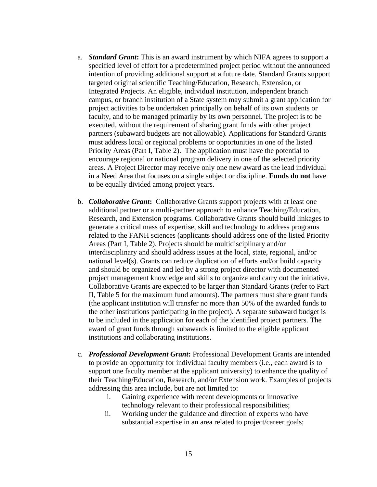- a. *Standard Grant***:** This is an award instrument by which NIFA agrees to support a specified level of effort for a predetermined project period without the announced intention of providing additional support at a future date. Standard Grants support targeted original scientific Teaching/Education, Research, Extension, or Integrated Projects. An eligible, individual institution, independent branch campus, or branch institution of a State system may submit a grant application for project activities to be undertaken principally on behalf of its own students or faculty, and to be managed primarily by its own personnel. The project is to be executed, without the requirement of sharing grant funds with other project partners (subaward budgets are not allowable). Applications for Standard Grants must address local or regional problems or opportunities in one of the listed Priority Areas (Part I, Table 2). The application must have the potential to encourage regional or national program delivery in one of the selected priority areas. A Project Director may receive only one new award as the lead individual in a Need Area that focuses on a single subject or discipline. **Funds do not** have to be equally divided among project years.
- b. *Collaborative Grant***:** Collaborative Grants support projects with at least one additional partner or a multi-partner approach to enhance Teaching/Education, Research, and Extension programs. Collaborative Grants should build linkages to generate a critical mass of expertise, skill and technology to address programs related to the FANH sciences (applicants should address one of the listed Priority Areas (Part I, Table 2). Projects should be multidisciplinary and/or interdisciplinary and should address issues at the local, state, regional, and/or national level(s). Grants can reduce duplication of efforts and/or build capacity and should be organized and led by a strong project director with documented project management knowledge and skills to organize and carry out the initiative. Collaborative Grants are expected to be larger than Standard Grants (refer to Part II, Table 5 for the maximum fund amounts). The partners must share grant funds (the applicant institution will transfer no more than 50% of the awarded funds to the other institutions participating in the project). A separate subaward budget is to be included in the application for each of the identified project partners. The award of grant funds through subawards is limited to the eligible applicant institutions and collaborating institutions.
- c. *Professional Development Grant***:** Professional Development Grants are intended to provide an opportunity for individual faculty members (i.e., each award is to support one faculty member at the applicant university) to enhance the quality of their Teaching/Education, Research, and/or Extension work. Examples of projects addressing this area include, but are not limited to:
	- i. Gaining experience with recent developments or innovative technology relevant to their professional responsibilities;
	- ii. Working under the guidance and direction of experts who have substantial expertise in an area related to project/career goals;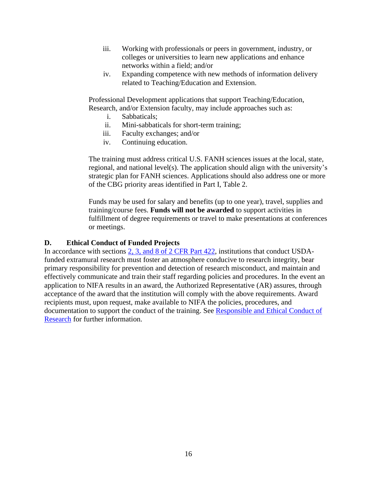- iii. Working with professionals or peers in government, industry, or colleges or universities to learn new applications and enhance networks within a field; and/or
- iv. Expanding competence with new methods of information delivery related to Teaching/Education and Extension.

Professional Development applications that support Teaching/Education, Research, and/or Extension faculty, may include approaches such as:

- i. Sabbaticals;
- ii. Mini-sabbaticals for short-term training;
- iii. Faculty exchanges; and/or
- iv. Continuing education.

The training must address critical U.S. FANH sciences issues at the local, state, regional, and national level(s). The application should align with the university's strategic plan for FANH sciences. Applications should also address one or more of the CBG priority areas identified in Part I, Table 2.

Funds may be used for salary and benefits (up to one year), travel, supplies and training/course fees. **Funds will not be awarded** to support activities in fulfillment of degree requirements or travel to make presentations at conferences or meetings.

#### <span id="page-15-0"></span>**D. Ethical Conduct of Funded Projects**

In accordance with sections [2, 3, and 8 of 2 CFR Part 422,](https://ecfr.io/Title-02/pt2.1.422) institutions that conduct USDAfunded extramural research must foster an atmosphere conducive to research integrity, bear primary responsibility for prevention and detection of research misconduct, and maintain and effectively communicate and train their staff regarding policies and procedures. In the event an application to NIFA results in an award, the Authorized Representative (AR) assures, through acceptance of the award that the institution will comply with the above requirements. Award recipients must, upon request, make available to NIFA the policies, procedures, and documentation to support the conduct of the training. See Responsible and Ethical Conduct of [Research](https://nifa.usda.gov/responsible-and-ethical-conduct-research) for further information.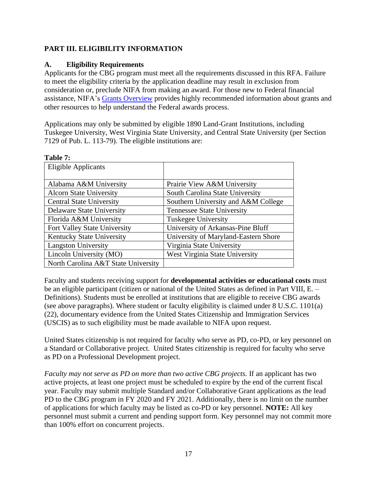# <span id="page-16-0"></span>**PART III. ELIGIBILITY INFORMATION**

## <span id="page-16-1"></span>**A. Eligibility Requirements**

Applicants for the CBG program must meet all the requirements discussed in this RFA. Failure to meet the eligibility criteria by the application deadline may result in exclusion from consideration or, preclude NIFA from making an award. For those new to Federal financial assistance, NIFA's [Grants Overview](https://nifa.usda.gov/resource/grants-overview) provides highly recommended information about grants and other resources to help understand the Federal awards process.

Applications may only be submitted by eligible 1890 Land-Grant Institutions, including Tuskegee University, West Virginia State University, and Central State University (per Section 7129 of Pub. L. 113-79). The eligible institutions are:

<span id="page-16-2"></span>

| Table 7:                            |                                      |
|-------------------------------------|--------------------------------------|
| <b>Eligible Applicants</b>          |                                      |
|                                     |                                      |
| Alabama A&M University              | Prairie View A&M University          |
| <b>Alcorn State University</b>      | South Carolina State University      |
| <b>Central State University</b>     | Southern University and A&M College  |
| Delaware State University           | <b>Tennessee State University</b>    |
| Florida A&M University              | <b>Tuskegee University</b>           |
| Fort Valley State University        | University of Arkansas-Pine Bluff    |
| <b>Kentucky State University</b>    | University of Maryland-Eastern Shore |
| <b>Langston University</b>          | Virginia State University            |
| Lincoln University (MO)             | West Virginia State University       |
| North Carolina A&T State University |                                      |

Faculty and students receiving support for **developmental activities or educational costs** must be an eligible participant (citizen or national of the United States as defined in Part VIII, E. – Definitions). Students must be enrolled at institutions that are eligible to receive CBG awards (see above paragraphs). Where student or faculty eligibility is claimed under 8 U.S.C. 1101(a) (22), documentary evidence from the United States Citizenship and Immigration Services (USCIS) as to such eligibility must be made available to NIFA upon request.

United States citizenship is not required for faculty who serve as PD, co-PD, or key personnel on a Standard or Collaborative project. United States citizenship is required for faculty who serve as PD on a Professional Development project.

*Faculty may not serve as PD on more than two active CBG projects.* If an applicant has two active projects, at least one project must be scheduled to expire by the end of the current fiscal year. Faculty may submit multiple Standard and/or Collaborative Grant applications as the lead PD to the CBG program in FY 2020 and FY 2021. Additionally, there is no limit on the number of applications for which faculty may be listed as co-PD or key personnel. **NOTE:** All key personnel must submit a current and pending support form. Key personnel may not commit more than 100% effort on concurrent projects.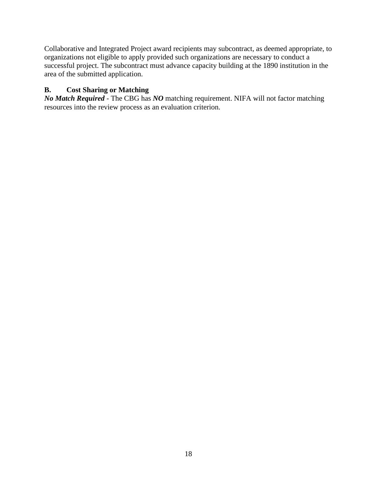Collaborative and Integrated Project award recipients may subcontract, as deemed appropriate, to organizations not eligible to apply provided such organizations are necessary to conduct a successful project. The subcontract must advance capacity building at the 1890 institution in the area of the submitted application.

## <span id="page-17-0"></span>**B. Cost Sharing or Matching**

*No Match Required* - The CBG has *NO* matching requirement. NIFA will not factor matching resources into the review process as an evaluation criterion.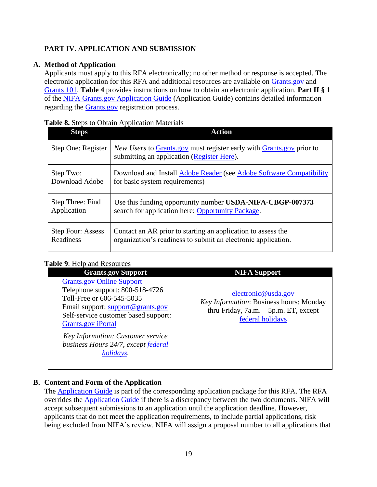# <span id="page-18-0"></span>**PART IV. APPLICATION AND SUBMISSION**

## **A. Method of Application**

<span id="page-18-1"></span>Applicants must apply to this RFA electronically; no other method or response is accepted. The electronic application for this RFA and additional resources are available on [Grants.gov](https://www.grants.gov/) and [Grants 101.](https://www.grants.gov/web/grants/learn-grants/grants-101/pre-award-phase.html/) **Table 4** provides instructions on how to obtain an electronic application. **Part II § 1** of the [NIFA Grants.gov Application Guide](https://apply07.grants.gov/apply/opportunities/instructions/PKG00249520-instructions.pdf) (Application Guide) contains detailed information regarding the [Grants.gov](https://www.grants.gov/) registration process.

### <span id="page-18-3"></span>**Table 8.** Steps to Obtain Application Materials

| <b>Steps</b>             | <b>Action</b>                                                                                                             |
|--------------------------|---------------------------------------------------------------------------------------------------------------------------|
| Step One: Register       | <i>New Users</i> to Grants gov must register early with Grants gov prior to<br>submitting an application (Register Here). |
| Step Two:                | Download and Install Adobe Reader (see Adobe Software Compatibility                                                       |
| Download Adobe           | for basic system requirements)                                                                                            |
| Step Three: Find         | Use this funding opportunity number USDA-NIFA-CBGP-007373                                                                 |
| Application              | search for application here: Opportunity Package.                                                                         |
| <b>Step Four: Assess</b> | Contact an AR prior to starting an application to assess the                                                              |
| Readiness                | organization's readiness to submit an electronic application.                                                             |

## <span id="page-18-4"></span>**Table 9**: Help and Resources

| abic 7. Ticip and Resources                                                                                                                                                                                                                                                                                |                                                                                                                                |
|------------------------------------------------------------------------------------------------------------------------------------------------------------------------------------------------------------------------------------------------------------------------------------------------------------|--------------------------------------------------------------------------------------------------------------------------------|
| <b>Grants.gov Support</b>                                                                                                                                                                                                                                                                                  | <b>NIFA Support</b>                                                                                                            |
| <b>Grants.gov Online Support</b><br>Telephone support: 800-518-4726<br>Toll-Free or 606-545-5035<br>Email support: support@grants.gov<br>Self-service customer based support:<br><b>Grants.gov</b> iPortal<br>Key Information: Customer service<br>business Hours 24/7, except federal<br><i>holidays.</i> | electronic@usda.gov<br>Key Information: Business hours: Monday<br>thru Friday, $7a.m. - 5p.m. ET$ , except<br>federal holidays |
|                                                                                                                                                                                                                                                                                                            |                                                                                                                                |

## **B. Content and Form of the Application**

<span id="page-18-2"></span>The [Application Guide](https://apply07.grants.gov/apply/opportunities/instructions/PKG00249520-instructions.pdf) is part of the corresponding application package for this RFA. The RFA overrides the [Application Guide](https://apply07.grants.gov/apply/opportunities/instructions/PKG00249520-instructions.pdf) if there is a discrepancy between the two documents. NIFA will accept subsequent submissions to an application until the application deadline. However, applicants that do not meet the application requirements, to include partial applications, risk being excluded from NIFA's review. NIFA will assign a proposal number to all applications that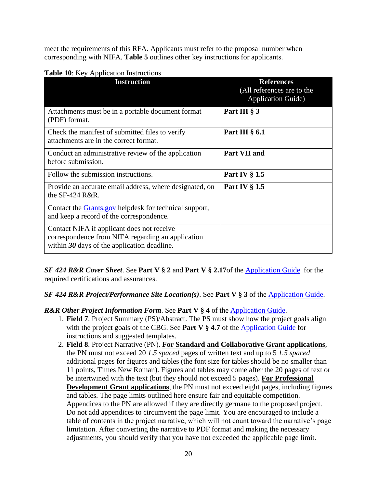meet the requirements of this RFA. Applicants must refer to the proposal number when corresponding with NIFA. **Table 5** outlines other key instructions for applicants.

| <b>Instruction</b>                                                                                                                               | <b>References</b><br>(All references are to the<br><b>Application Guide</b> ) |
|--------------------------------------------------------------------------------------------------------------------------------------------------|-------------------------------------------------------------------------------|
| Attachments must be in a portable document format<br>(PDF) format.                                                                               | Part III § 3                                                                  |
| Check the manifest of submitted files to verify<br>attachments are in the correct format.                                                        | Part III $\S$ 6.1                                                             |
| Conduct an administrative review of the application<br>before submission.                                                                        | <b>Part VII and</b>                                                           |
| Follow the submission instructions.                                                                                                              | Part IV $\S 1.5$                                                              |
| Provide an accurate email address, where designated, on<br>the $SF-424$ R&R.                                                                     | Part IV $\S$ 1.5                                                              |
| Contact the <b>Grants.gov</b> helpdesk for technical support,<br>and keep a record of the correspondence.                                        |                                                                               |
| Contact NIFA if applicant does not receive<br>correspondence from NIFA regarding an application<br>within $30$ days of the application deadline. |                                                                               |

#### <span id="page-19-0"></span>**Table 10:** Key Application Instructions

*SF 424 R&R Cover Sheet*. See **Part V § 2** and **Part V § 2.17**of the [Application Guide](https://apply07.grants.gov/apply/opportunities/instructions/PKG00249520-instructions.pdf) for the required certifications and assurances.

#### *SF 424 R&R Project/Performance Site Location(s)*. See **Part V § 3** of the [Application Guide.](https://apply07.grants.gov/apply/opportunities/instructions/PKG00249520-instructions.pdf)

#### *R&R Other Project Information Form*. See **Part V § 4** of the [Application Guide.](https://apply07.grants.gov/apply/opportunities/instructions/PKG00249520-instructions.pdf)

- 1. **Field 7**. Project Summary (PS)/Abstract. The PS must show how the project goals align with the project goals of the CBG. See **Part V § 4.7** of the [Application Guide](https://apply07.grants.gov/apply/opportunities/instructions/PKG00249520-instructions.pdf) for instructions and suggested templates.
- 2. **Field 8**. Project Narrative (PN). **For Standard and Collaborative Grant applications**, the PN must not exceed 20 *1.5 spaced* pages of written text and up to 5 *1.5 spaced* additional pages for figures and tables (the font size for tables should be no smaller than 11 points, Times New Roman). Figures and tables may come after the 20 pages of text or be intertwined with the text (but they should not exceed 5 pages). **For Professional Development Grant applications**, the PN must not exceed eight pages, including figures and tables. The page limits outlined here ensure fair and equitable competition. Appendices to the PN are allowed if they are directly germane to the proposed project. Do not add appendices to circumvent the page limit. You are encouraged to include a table of contents in the project narrative, which will not count toward the narrative's page limitation. After converting the narrative to PDF format and making the necessary adjustments, you should verify that you have not exceeded the applicable page limit.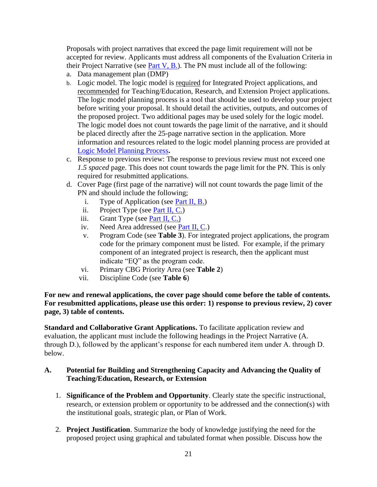Proposals with project narratives that exceed the page limit requirement will not be accepted for review. Applicants must address all components of the Evaluation Criteria in their Project Narrative (see [Part V, B.\)](#page-29-2). The PN must include all of the following:

- a. Data management plan (DMP)
- b. Logic model. The logic model is required for Integrated Project applications, and recommended for Teaching/Education, Research, and Extension Project applications. The logic model planning process is a tool that should be used to develop your project before writing your proposal. It should detail the activities, outputs, and outcomes of the proposed project. Two additional pages may be used solely for the logic model. The logic model does not count towards the page limit of the narrative, and it should be placed directly after the 25-page narrative section in the application. More information and resources related to the logic model planning process are provided at [Logic Model Planning Process](https://nifa.usda.gov/resource/logic-model-planning-process)**.**
- c. Response to previous review: The response to previous review must not exceed one *1.5 spaced* page. This does not count towards the page limit for the PN. This is only required for resubmitted applications.
- d. Cover Page (first page of the narrative) will not count towards the page limit of the PN and should include the following;
	- i. Type of Application (see [Part II, B.\)](#page-8-2)
	- ii. Project Type (see [Part II, C.\)](#page-9-0)
	- iii. Grant Type (see [Part II, C.\)](#page-9-0)
	- iv. Need Area addressed (see [Part II, C.](#page-9-0))
	- v. Program Code (see **Table 3**). For integrated project applications, the program code for the primary component must be listed. For example, if the primary component of an integrated project is research, then the applicant must indicate "EQ" as the program code.
	- vi. Primary CBG Priority Area (see **Table 2**)
	- vii. Discipline Code (see **Table 6**)

**For new and renewal applications, the cover page should come before the table of contents. For resubmitted applications, please use this order: 1) response to previous review, 2) cover page, 3) table of contents.**

**Standard and Collaborative Grant Applications.** To facilitate application review and evaluation, the applicant must include the following headings in the Project Narrative (A. through D.), followed by the applicant's response for each numbered item under A. through D. below.

#### **A. Potential for Building and Strengthening Capacity and Advancing the Quality of Teaching/Education, Research, or Extension**

- 1. **Significance of the Problem and Opportunity**. Clearly state the specific instructional, research, or extension problem or opportunity to be addressed and the connection(s) with the institutional goals, strategic plan, or Plan of Work.
- 2. **Project Justification**. Summarize the body of knowledge justifying the need for the proposed project using graphical and tabulated format when possible. Discuss how the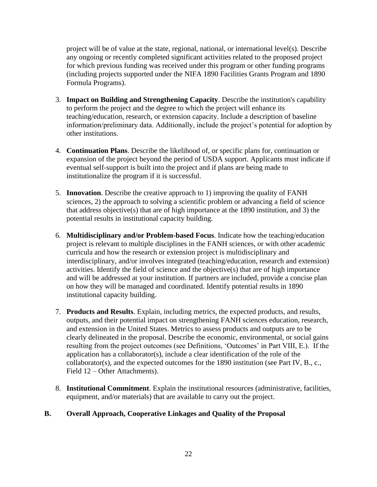project will be of value at the state, regional, national, or international level(s). Describe any ongoing or recently completed significant activities related to the proposed project for which previous funding was received under this program or other funding programs (including projects supported under the NIFA 1890 Facilities Grants Program and 1890 Formula Programs).

- 3. **Impact on Building and Strengthening Capacity**. Describe the institution's capability to perform the project and the degree to which the project will enhance its teaching/education, research, or extension capacity. Include a description of baseline information/preliminary data. Additionally, include the project's potential for adoption by other institutions.
- 4. **Continuation Plans**. Describe the likelihood of, or specific plans for, continuation or expansion of the project beyond the period of USDA support. Applicants must indicate if eventual self-support is built into the project and if plans are being made to institutionalize the program if it is successful.
- 5. **Innovation**. Describe the creative approach to 1) improving the quality of FANH sciences, 2) the approach to solving a scientific problem or advancing a field of science that address objective(s) that are of high importance at the 1890 institution, and 3) the potential results in institutional capacity building.
- 6. **Multidisciplinary and/or Problem-based Focus**. Indicate how the teaching/education project is relevant to multiple disciplines in the FANH sciences, or with other academic curricula and how the research or extension project is multidisciplinary and interdisciplinary, and/or involves integrated (teaching/education, research and extension) activities. Identify the field of science and the objective(s) that are of high importance and will be addressed at your institution. If partners are included, provide a concise plan on how they will be managed and coordinated. Identify potential results in 1890 institutional capacity building.
- 7. **Products and Results**. Explain, including metrics, the expected products, and results, outputs, and their potential impact on strengthening FANH sciences education, research, and extension in the United States. Metrics to assess products and outputs are to be clearly delineated in the proposal. Describe the economic, environmental, or social gains resulting from the project outcomes (see Definitions, 'Outcomes' in Part VIII, E.). If the application has a collaborator(s), include a clear identification of the role of the collaborator(s), and the expected outcomes for the 1890 institution (see Part IV, B., c., Field 12 – Other Attachments).
- 8. **Institutional Commitment**. Explain the institutional resources (administrative, facilities, equipment, and/or materials) that are available to carry out the project.

## **B. Overall Approach, Cooperative Linkages and Quality of the Proposal**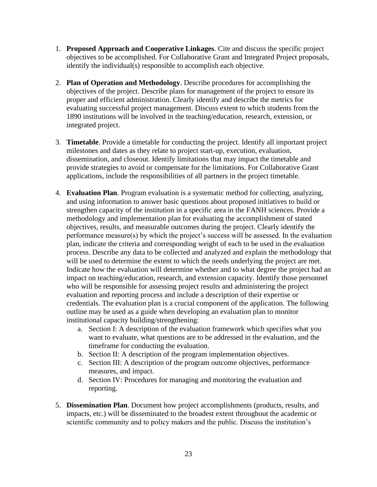- 1. **Proposed Approach and Cooperative Linkages**. Cite and discuss the specific project objectives to be accomplished. For Collaborative Grant and Integrated Project proposals, identify the individual(s) responsible to accomplish each objective.
- 2. **Plan of Operation and Methodology**. Describe procedures for accomplishing the objectives of the project. Describe plans for management of the project to ensure its proper and efficient administration. Clearly identify and describe the metrics for evaluating successful project management. Discuss extent to which students from the 1890 institutions will be involved in the teaching/education, research, extension, or integrated project.
- 3. **Timetable**. Provide a timetable for conducting the project. Identify all important project milestones and dates as they relate to project start-up, execution, evaluation, dissemination, and closeout. Identify limitations that may impact the timetable and provide strategies to avoid or compensate for the limitations. For Collaborative Grant applications, include the responsibilities of all partners in the project timetable.
- 4. **Evaluation Plan**. Program evaluation is a systematic method for collecting, analyzing, and using information to answer basic questions about proposed initiatives to build or strengthen capacity of the institution in a specific area in the FANH sciences. Provide a methodology and implementation plan for evaluating the accomplishment of stated objectives, results, and measurable outcomes during the project. Clearly identify the performance measure(s) by which the project's success will be assessed. In the evaluation plan, indicate the criteria and corresponding weight of each to be used in the evaluation process. Describe any data to be collected and analyzed and explain the methodology that will be used to determine the extent to which the needs underlying the project are met. Indicate how the evaluation will determine whether and to what degree the project had an impact on teaching/education, research, and extension capacity. Identify those personnel who will be responsible for assessing project results and administering the project evaluation and reporting process and include a description of their expertise or credentials. The evaluation plan is a crucial component of the application. The following outline may be used as a guide when developing an evaluation plan to monitor institutional capacity building/strengthening:
	- a. Section I: A description of the evaluation framework which specifies what you want to evaluate, what questions are to be addressed in the evaluation, and the timeframe for conducting the evaluation.
	- b. Section II: A description of the program implementation objectives.
	- c. Section III: A description of the program outcome objectives, performance measures, and impact.
	- d. Section IV: Procedures for managing and monitoring the evaluation and reporting.
- 5. **Dissemination Plan**. Document how project accomplishments (products, results, and impacts, etc.) will be disseminated to the broadest extent throughout the academic or scientific community and to policy makers and the public. Discuss the institution's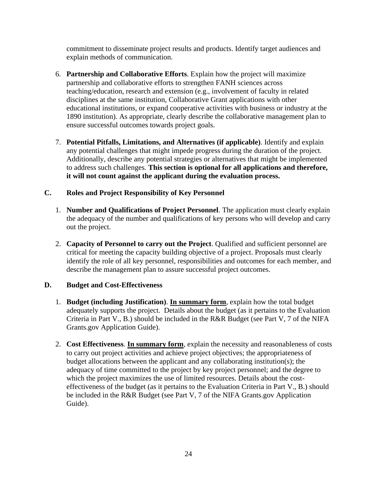commitment to disseminate project results and products. Identify target audiences and explain methods of communication.

- 6. **Partnership and Collaborative Efforts**. Explain how the project will maximize partnership and collaborative efforts to strengthen FANH sciences across teaching/education, research and extension (e.g., involvement of faculty in related disciplines at the same institution, Collaborative Grant applications with other educational institutions, or expand cooperative activities with business or industry at the 1890 institution). As appropriate, clearly describe the collaborative management plan to ensure successful outcomes towards project goals.
- 7. **Potential Pitfalls, Limitations, and Alternatives (if applicable)**. Identify and explain any potential challenges that might impede progress during the duration of the project. Additionally, describe any potential strategies or alternatives that might be implemented to address such challenges. **This section is optional for all applications and therefore, it will not count against the applicant during the evaluation process.**

## **C. Roles and Project Responsibility of Key Personnel**

- 1. **Number and Qualifications of Project Personnel**. The application must clearly explain the adequacy of the number and qualifications of key persons who will develop and carry out the project.
- 2. **Capacity of Personnel to carry out the Project**. Qualified and sufficient personnel are critical for meeting the capacity building objective of a project. Proposals must clearly identify the role of all key personnel, responsibilities and outcomes for each member, and describe the management plan to assure successful project outcomes.

#### **D. Budget and Cost-Effectiveness**

- 1. **Budget (including Justification)**. **In summary form**, explain how the total budget adequately supports the project. Details about the budget (as it pertains to the Evaluation Criteria in Part V., B.) should be included in the R&R Budget (see Part V, 7 of the NIFA Grants.gov Application Guide).
- 2. **Cost Effectiveness**. **In summary form**, explain the necessity and reasonableness of costs to carry out project activities and achieve project objectives; the appropriateness of budget allocations between the applicant and any collaborating institution(s); the adequacy of time committed to the project by key project personnel; and the degree to which the project maximizes the use of limited resources. Details about the costeffectiveness of the budget (as it pertains to the Evaluation Criteria in Part V., B.) should be included in the R&R Budget (see Part V, 7 of the NIFA Grants.gov Application Guide).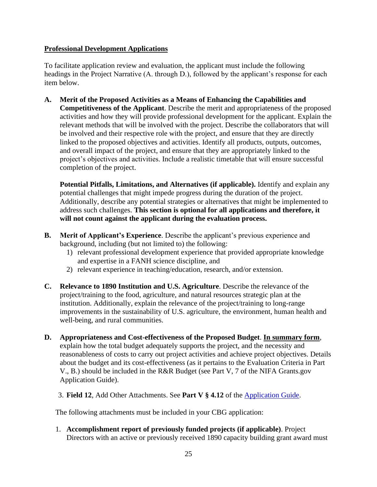## **Professional Development Applications**

To facilitate application review and evaluation, the applicant must include the following headings in the Project Narrative (A. through D.), followed by the applicant's response for each item below.

**A. Merit of the Proposed Activities as a Means of Enhancing the Capabilities and Competitiveness of the Applicant**. Describe the merit and appropriateness of the proposed activities and how they will provide professional development for the applicant. Explain the relevant methods that will be involved with the project. Describe the collaborators that will be involved and their respective role with the project, and ensure that they are directly linked to the proposed objectives and activities. Identify all products, outputs, outcomes, and overall impact of the project, and ensure that they are appropriately linked to the project's objectives and activities. Include a realistic timetable that will ensure successful completion of the project.

**Potential Pitfalls, Limitations, and Alternatives (if applicable).** Identify and explain any potential challenges that might impede progress during the duration of the project. Additionally, describe any potential strategies or alternatives that might be implemented to address such challenges. **This section is optional for all applications and therefore, it will not count against the applicant during the evaluation process.**

- **B. Merit of Applicant's Experience**. Describe the applicant's previous experience and background, including (but not limited to) the following:
	- 1) relevant professional development experience that provided appropriate knowledge and expertise in a FANH science discipline, and
	- 2) relevant experience in teaching/education, research, and/or extension.
- **C. Relevance to 1890 Institution and U.S. Agriculture**. Describe the relevance of the project/training to the food, agriculture, and natural resources strategic plan at the institution. Additionally, explain the relevance of the project/training to long-range improvements in the sustainability of U.S. agriculture, the environment, human health and well-being, and rural communities.
- **D. Appropriateness and Cost-effectiveness of the Proposed Budget**. **In summary form**, explain how the total budget adequately supports the project, and the necessity and reasonableness of costs to carry out project activities and achieve project objectives. Details about the budget and its cost-effectiveness (as it pertains to the Evaluation Criteria in Part V., B.) should be included in the R&R Budget (see Part V, 7 of the NIFA Grants.gov Application Guide).

3. **Field 12**, Add Other Attachments. See **Part V § 4.12** of the [Application Guide.](https://apply07.grants.gov/apply/opportunities/instructions/PKG00249520-instructions.pdf)

The following attachments must be included in your CBG application:

1. **Accomplishment report of previously funded projects (if applicable)**. Project Directors with an active or previously received 1890 capacity building grant award must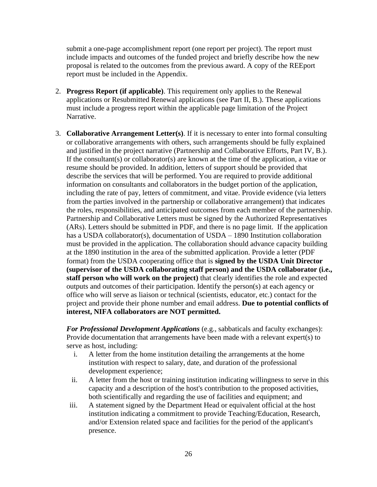submit a one-page accomplishment report (one report per project). The report must include impacts and outcomes of the funded project and briefly describe how the new proposal is related to the outcomes from the previous award. A copy of the REEport report must be included in the Appendix.

- 2. **Progress Report (if applicable)**. This requirement only applies to the Renewal applications or Resubmitted Renewal applications (see Part II, B.). These applications must include a progress report within the applicable page limitation of the Project Narrative.
- 3. **Collaborative Arrangement Letter(s)**. If it is necessary to enter into formal consulting or collaborative arrangements with others, such arrangements should be fully explained and justified in the project narrative (Partnership and Collaborative Efforts, Part IV, B.). If the consultant(s) or collaborator(s) are known at the time of the application, a vitae or resume should be provided. In addition, letters of support should be provided that describe the services that will be performed. You are required to provide additional information on consultants and collaborators in the budget portion of the application, including the rate of pay, letters of commitment, and vitae. Provide evidence (via letters from the parties involved in the partnership or collaborative arrangement) that indicates the roles, responsibilities, and anticipated outcomes from each member of the partnership. Partnership and Collaborative Letters must be signed by the Authorized Representatives (ARs). Letters should be submitted in PDF, and there is no page limit. If the application has a USDA collaborator(s), documentation of USDA – 1890 Institution collaboration must be provided in the application. The collaboration should advance capacity building at the 1890 institution in the area of the submitted application. Provide a letter (PDF format) from the USDA cooperating office that is **signed by the USDA Unit Director (supervisor of the USDA collaborating staff person) and the USDA collaborator (i.e., staff person who will work on the project)** that clearly identifies the role and expected outputs and outcomes of their participation. Identify the person(s) at each agency or office who will serve as liaison or technical (scientists, educator, etc.) contact for the project and provide their phone number and email address. **Due to potential conflicts of interest, NIFA collaborators are NOT permitted.**

*For Professional Development Applications* (e.g., sabbaticals and faculty exchanges): Provide documentation that arrangements have been made with a relevant expert(s) to serve as host, including:

- i. A letter from the home institution detailing the arrangements at the home institution with respect to salary, date, and duration of the professional development experience;
- ii. A letter from the host or training institution indicating willingness to serve in this capacity and a description of the host's contribution to the proposed activities, both scientifically and regarding the use of facilities and equipment; and
- iii. A statement signed by the Department Head or equivalent official at the host institution indicating a commitment to provide Teaching/Education, Research, and/or Extension related space and facilities for the period of the applicant's presence.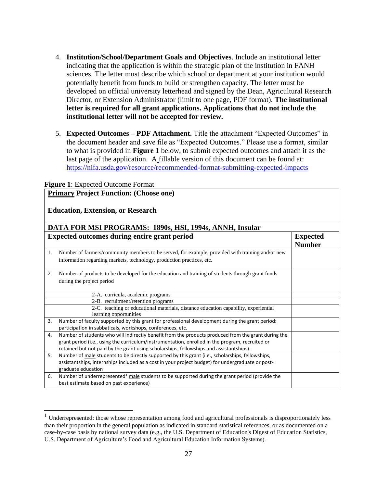- 4. **Institution/School/Department Goals and Objectives**. Include an institutional letter indicating that the application is within the strategic plan of the institution in FANH sciences. The letter must describe which school or department at your institution would potentially benefit from funds to build or strengthen capacity. The letter must be developed on official university letterhead and signed by the Dean, Agricultural Research Director, or Extension Administrator (limit to one page, PDF format). **The institutional letter is required for all grant applications. Applications that do not include the institutional letter will not be accepted for review.**
- 5. **Expected Outcomes – PDF Attachment.** Title the attachment "Expected Outcomes" in the document header and save file as "Expected Outcomes." Please use a format, similar to what is provided in **Figure 1** below, to submit expected outcomes and attach it as the last page of the application. A fillable version of this document can be found at: <https://nifa.usda.gov/resource/recommended-format-submitting-expected-impacts>

|                                          | <b>Figure 1:</b> Expected Outcome Format                                                                                                                                                                                                                                                          |                                  |
|------------------------------------------|---------------------------------------------------------------------------------------------------------------------------------------------------------------------------------------------------------------------------------------------------------------------------------------------------|----------------------------------|
|                                          | <b>Primary Project Function: (Choose one)</b>                                                                                                                                                                                                                                                     |                                  |
| <b>Education, Extension, or Research</b> |                                                                                                                                                                                                                                                                                                   |                                  |
|                                          | DATA FOR MSI PROGRAMS: 1890s, HSI, 1994s, ANNH, Insular                                                                                                                                                                                                                                           |                                  |
|                                          | <b>Expected outcomes during entire grant period</b>                                                                                                                                                                                                                                               | <b>Expected</b><br><b>Number</b> |
| 1.                                       | Number of farmers/community members to be served, for example, provided with training and/or new<br>information regarding markets, technology, production practices, etc.                                                                                                                         |                                  |
| 2.                                       | Number of products to be developed for the education and training of students through grant funds<br>during the project period                                                                                                                                                                    |                                  |
|                                          | 2-A. curricula, academic programs                                                                                                                                                                                                                                                                 |                                  |
|                                          | 2-B. recruitment/retention programs                                                                                                                                                                                                                                                               |                                  |
|                                          | 2-C. teaching or educational materials, distance education capability, experiential<br>learning opportunities                                                                                                                                                                                     |                                  |
| 3.                                       | Number of faculty supported by this grant for professional development during the grant period:<br>participation in sabbaticals, workshops, conferences, etc.                                                                                                                                     |                                  |
| 4.                                       | Number of students who will indirectly benefit from the products produced from the grant during the<br>grant period (i.e., using the curriculum/instrumentation, enrolled in the program, recruited or<br>retained but not paid by the grant using scholarships, fellowships and assistantships). |                                  |
| 5.                                       | Number of male students to be directly supported by this grant (i.e., scholarships, fellowships,<br>assistantships, internships included as a cost in your project budget) for undergraduate or post-<br>graduate education                                                                       |                                  |
| 6.                                       | Number of underrepresented <sup>1</sup> male students to be supported during the grant period (provide the<br>best estimate based on past experience)                                                                                                                                             |                                  |

 $1$  Underrepresented: those whose representation among food and agricultural professionals is disproportionately less than their proportion in the general population as indicated in standard statistical references, or as documented on a case-by-case basis by national survey data (e.g., the U.S. Department of Education's Digest of Education Statistics, U.S. Department of Agriculture's Food and Agricultural Education Information Systems).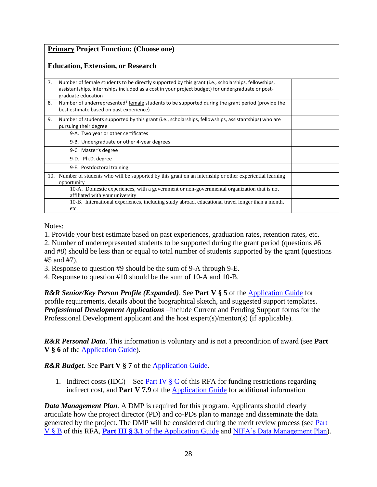| <b>Primary Project Function: (Choose one)</b> |                                                                                                                                                                                                                               |  |
|-----------------------------------------------|-------------------------------------------------------------------------------------------------------------------------------------------------------------------------------------------------------------------------------|--|
|                                               | <b>Education, Extension, or Research</b>                                                                                                                                                                                      |  |
| 7.                                            | Number of female students to be directly supported by this grant (i.e., scholarships, fellowships,<br>assistantships, internships included as a cost in your project budget) for undergraduate or post-<br>graduate education |  |
| 8.                                            | Number of underrepresented <sup>1</sup> female students to be supported during the grant period (provide the<br>best estimate based on past experience)                                                                       |  |
| 9.                                            | Number of students supported by this grant (i.e., scholarships, fellowships, assistantships) who are<br>pursuing their degree                                                                                                 |  |
|                                               | 9-A. Two year or other certificates                                                                                                                                                                                           |  |
|                                               | 9-B. Undergraduate or other 4-year degrees                                                                                                                                                                                    |  |
|                                               | 9-C. Master's degree                                                                                                                                                                                                          |  |
|                                               | 9-D. Ph.D. degree                                                                                                                                                                                                             |  |
|                                               | 9-E. Postdoctoral training                                                                                                                                                                                                    |  |
|                                               | 10. Number of students who will be supported by this grant on an internship or other experiential learning<br>opportunity                                                                                                     |  |
|                                               | 10-A. Domestic experiences, with a government or non-governmental organization that is not<br>affiliated with your university                                                                                                 |  |
|                                               | 10-B. International experiences, including study abroad, educational travel longer than a month,<br>etc.                                                                                                                      |  |

Notes:

1. Provide your best estimate based on past experiences, graduation rates, retention rates, etc. 2. Number of underrepresented students to be supported during the grant period (questions #6 and #8) should be less than or equal to total number of students supported by the grant (questions #5 and #7).

3. Response to question #9 should be the sum of 9-A through 9-E.

4. Response to question #10 should be the sum of 10-A and 10-B.

*R&R Senior/Key Person Profile (Expanded)*. See **Part V § 5** of the [Application Guide](https://apply07.grants.gov/apply/opportunities/instructions/PKG00249520-instructions.pdf) for profile requirements, details about the biographical sketch, and suggested support templates. *Professional Development Applications –*Include Current and Pending Support forms for the Professional Development applicant and the host expert(s)/mentor(s) (if applicable).

*R&R Personal Data*. This information is voluntary and is not a precondition of award (see **Part V § 6** of the [Application Guide\)](https://apply07.grants.gov/apply/opportunities/instructions/PKG00249520-instructions.pdf).

## *R&R Budget*. See **Part V § 7** of the [Application Guide.](https://apply07.grants.gov/apply/opportunities/instructions/PKG00249520-instructions.pdf)

1. Indirect costs (IDC) – See Part IV  $\S\subseteq$  of this RFA for funding restrictions regarding indirect cost, and **Part V 7.9** of the **Application Guide** for additional information

*Data Management Plan*. A DMP is required for this program. Applicants should clearly articulate how the project director (PD) and co-PDs plan to manage and disseminate the data generated by the project. The DMP will be considered during the merit review process (see [Part](#page-29-2)  [V §](#page-29-2) B of this RFA, **Part III § 3.1** of the [Application Guide](https://apply07.grants.gov/apply/opportunities/instructions/PKG00249520-instructions.pdf) and [NIFA's Data Management Plan\)](https://nifa.usda.gov/resource/data-management-plan-nifa-funded-research-projects).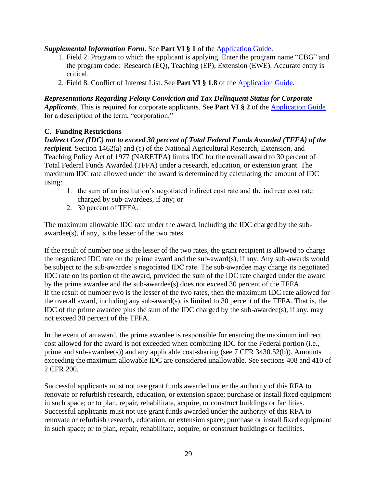## *Supplemental Information Form*. See **Part VI § 1** of the [Application Guide.](https://apply07.grants.gov/apply/opportunities/instructions/PKG00249520-instructions.pdf)

- 1. Field 2. Program to which the applicant is applying. Enter the program name "CBG" and the program code: Research (EQ), Teaching (EP), Extension (EWE). Accurate entry is critical.
- 2. Field 8. Conflict of Interest List. See **Part VI § 1.8** of the [Application Guide.](https://apply07.grants.gov/apply/opportunities/instructions/PKG00249520-instructions.pdf)

*Representations Regarding Felony Conviction and Tax Delinquent Status for Corporate Applicants*. This is required for corporate applicants. See **Part VI § 2** of the [Application Guide](https://apply07.grants.gov/apply/opportunities/instructions/PKG00249520-instructions.pdf) for a description of the term, "corporation."

#### <span id="page-28-0"></span>**C. Funding Restrictions**

*Indirect Cost (IDC) not to exceed 30 percent of Total Federal Funds Awarded (TFFA) of the recipient*. Section 1462(a) and (c) of the National Agricultural Research, Extension, and Teaching Policy Act of 1977 (NARETPA) limits IDC for the overall award to 30 percent of Total Federal Funds Awarded (TFFA) under a research, education, or extension grant. The maximum IDC rate allowed under the award is determined by calculating the amount of IDC using:

- 1. the sum of an institution's negotiated indirect cost rate and the indirect cost rate charged by sub-awardees, if any; or
- 2. 30 percent of TFFA.

The maximum allowable IDC rate under the award, including the IDC charged by the subawardee(s), if any, is the lesser of the two rates.

If the result of number one is the lesser of the two rates, the grant recipient is allowed to charge the negotiated IDC rate on the prime award and the sub-award(s), if any. Any sub-awards would be subject to the sub-awardee's negotiated IDC rate. The sub-awardee may charge its negotiated IDC rate on its portion of the award, provided the sum of the IDC rate charged under the award by the prime awardee and the sub-awardee(s) does not exceed 30 percent of the TFFA. If the result of number two is the lesser of the two rates, then the maximum IDC rate allowed for the overall award, including any sub-award(s), is limited to 30 percent of the TFFA. That is, the IDC of the prime awardee plus the sum of the IDC charged by the sub-awardee(s), if any, may not exceed 30 percent of the TFFA.

In the event of an award, the prime awardee is responsible for ensuring the maximum indirect cost allowed for the award is not exceeded when combining IDC for the Federal portion (i.e., prime and sub-awardee(s)) and any applicable cost-sharing (see 7 CFR 3430.52(b)). Amounts exceeding the maximum allowable IDC are considered unallowable. See sections 408 and 410 of 2 CFR 200.

Successful applicants must not use grant funds awarded under the authority of this RFA to renovate or refurbish research, education, or extension space; purchase or install fixed equipment in such space; or to plan, repair, rehabilitate, acquire, or construct buildings or facilities. Successful applicants must not use grant funds awarded under the authority of this RFA to renovate or refurbish research, education, or extension space; purchase or install fixed equipment in such space; or to plan, repair, rehabilitate, acquire, or construct buildings or facilities.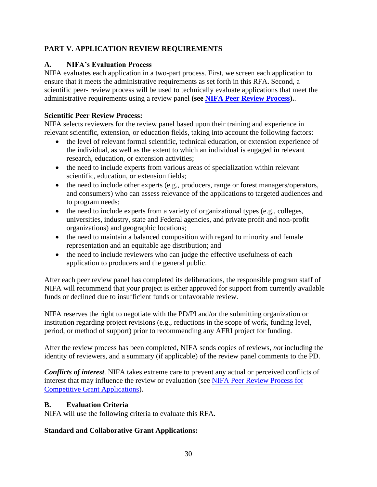# <span id="page-29-0"></span>**PART V. APPLICATION REVIEW REQUIREMENTS**

# <span id="page-29-1"></span>**A. NIFA's Evaluation Process**

NIFA evaluates each application in a two-part process. First, we screen each application to ensure that it meets the administrative requirements as set forth in this RFA. Second, a scientific peer- review process will be used to technically evaluate applications that meet the administrative requirements using a review panel **(see [NIFA Peer Review Process\)](https://nifa.usda.gov/resource/nifa-peer-review-process-competitive-grant-applications).**.

# **Scientific Peer Review Process:**

NIFA selects reviewers for the review panel based upon their training and experience in relevant scientific, extension, or education fields, taking into account the following factors:

- the level of relevant formal scientific, technical education, or extension experience of the individual, as well as the extent to which an individual is engaged in relevant research, education, or extension activities;
- the need to include experts from various areas of specialization within relevant scientific, education, or extension fields;
- the need to include other experts (e.g., producers, range or forest managers/operators, and consumers) who can assess relevance of the applications to targeted audiences and to program needs;
- the need to include experts from a variety of organizational types (e.g., colleges, universities, industry, state and Federal agencies, and private profit and non-profit organizations) and geographic locations;
- the need to maintain a balanced composition with regard to minority and female representation and an equitable age distribution; and
- the need to include reviewers who can judge the effective usefulness of each application to producers and the general public.

After each peer review panel has completed its deliberations, the responsible program staff of NIFA will recommend that your project is either approved for support from currently available funds or declined due to insufficient funds or unfavorable review.

NIFA reserves the right to negotiate with the PD/PI and/or the submitting organization or institution regarding project revisions (e.g., reductions in the scope of work, funding level, period, or method of support) prior to recommending any AFRI project for funding.

After the review process has been completed, NIFA sends copies of reviews, *not* including the identity of reviewers, and a summary (if applicable) of the review panel comments to the PD.

*Conflicts of interest*. NIFA takes extreme care to prevent any actual or perceived conflicts of interest that may influence the review or evaluation (see [NIFA Peer Review Process](https://nifa.usda.gov/resource/nifa-peer-review-process-competitive-grant-applications) for [Competitive Grant Applications\)](https://nifa.usda.gov/resource/nifa-peer-review-process-competitive-grant-applications).

# <span id="page-29-2"></span>**B. Evaluation Criteria**

NIFA will use the following criteria to evaluate this RFA.

# **Standard and Collaborative Grant Applications:**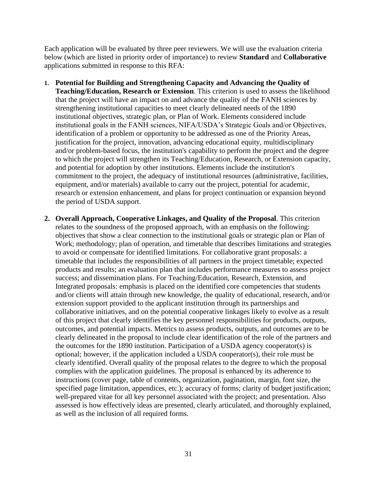Each application will be evaluated by three peer reviewers. We will use the evaluation criteria below (which are listed in priority order of importance) to review **Standard** and **Collaborative**  applications submitted in response to this RFA:

- **1. Potential for Building and Strengthening Capacity and Advancing the Quality of Teaching/Education, Research or Extension**. This criterion is used to assess the likelihood that the project will have an impact on and advance the quality of the FANH sciences by strengthening institutional capacities to meet clearly delineated needs of the 1890 institutional objectives, strategic plan, or Plan of Work. Elements considered include institutional goals in the FANH sciences, NIFA/USDA's Strategic Goals and/or Objectives, identification of a problem or opportunity to be addressed as one of the Priority Areas, justification for the project, innovation, advancing educational equity, multidisciplinary and/or problem-based focus, the institution's capability to perform the project and the degree to which the project will strengthen its Teaching/Education, Research, or Extension capacity, and potential for adoption by other institutions. Elements include the institution's commitment to the project, the adequacy of institutional resources (administrative, facilities, equipment, and/or materials) available to carry out the project, potential for academic, research or extension enhancement, and plans for project continuation or expansion beyond the period of USDA support.
- **2. Overall Approach, Cooperative Linkages, and Quality of the Proposal**. This criterion relates to the soundness of the proposed approach, with an emphasis on the following: objectives that show a clear connection to the institutional goals or strategic plan or Plan of Work; methodology; plan of operation, and timetable that describes limitations and strategies to avoid or compensate for identified limitations. For collaborative grant proposals: a timetable that includes the responsibilities of all partners in the project timetable; expected products and results; an evaluation plan that includes performance measures to assess project success; and dissemination plans. For Teaching/Education, Research, Extension, and Integrated proposals: emphasis is placed on the identified core competencies that students and/or clients will attain through new knowledge, the quality of educational, research, and/or extension support provided to the applicant institution through its partnerships and collaborative initiatives, and on the potential cooperative linkages likely to evolve as a result of this project that clearly identifies the key personnel responsibilities for products, outputs, outcomes, and potential impacts. Metrics to assess products, outputs, and outcomes are to be clearly delineated in the proposal to include clear identification of the role of the partners and the outcomes for the 1890 institution. Participation of a USDA agency cooperator(s) is optional; however, if the application included a USDA cooperator(s), their role must be clearly identified. Overall quality of the proposal relates to the degree to which the proposal complies with the application guidelines. The proposal is enhanced by its adherence to instructions (cover page, table of contents, organization, pagination, margin, font size, the specified page limitation, appendices, etc.); accuracy of forms; clarity of budget justification; well-prepared vitae for all key personnel associated with the project; and presentation. Also assessed is how effectively ideas are presented, clearly articulated, and thoroughly explained, as well as the inclusion of all required forms.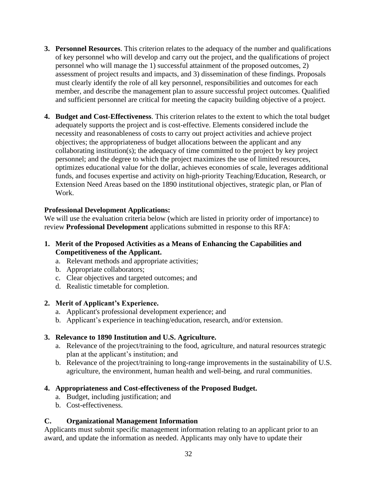- **3. Personnel Resources**. This criterion relates to the adequacy of the number and qualifications of key personnel who will develop and carry out the project, and the qualifications of project personnel who will manage the 1) successful attainment of the proposed outcomes, 2) assessment of project results and impacts, and 3) dissemination of these findings. Proposals must clearly identify the role of all key personnel, responsibilities and outcomes for each member, and describe the management plan to assure successful project outcomes. Qualified and sufficient personnel are critical for meeting the capacity building objective of a project.
- **4. Budget and Cost-Effectiveness**. This criterion relates to the extent to which the total budget adequately supports the project and is cost-effective. Elements considered include the necessity and reasonableness of costs to carry out project activities and achieve project objectives; the appropriateness of budget allocations between the applicant and any collaborating institution(s); the adequacy of time committed to the project by key project personnel; and the degree to which the project maximizes the use of limited resources, optimizes educational value for the dollar, achieves economies of scale, leverages additional funds, and focuses expertise and activity on high-priority Teaching/Education, Research, or Extension Need Areas based on the 1890 institutional objectives, strategic plan, or Plan of Work.

#### **Professional Development Applications:**

We will use the evaluation criteria below (which are listed in priority order of importance) to review **Professional Development** applications submitted in response to this RFA:

- **1. Merit of the Proposed Activities as a Means of Enhancing the Capabilities and Competitiveness of the Applicant.** 
	- a. Relevant methods and appropriate activities;
	- b. Appropriate collaborators;
	- c. Clear objectives and targeted outcomes; and
	- d. Realistic timetable for completion.

#### **2. Merit of Applicant's Experience.**

- a. Applicant's professional development experience; and
- b. Applicant's experience in teaching/education, research, and/or extension.

#### **3. Relevance to 1890 Institution and U.S. Agriculture.**

- a. Relevance of the project/training to the food, agriculture, and natural resources strategic plan at the applicant's institution; and
- b. Relevance of the project/training to long-range improvements in the sustainability of U.S. agriculture, the environment, human health and well-being, and rural communities.

## **4. Appropriateness and Cost-effectiveness of the Proposed Budget.**

- a. Budget, including justification; and
- b. Cost-effectiveness.

## <span id="page-31-0"></span>**C. Organizational Management Information**

Applicants must submit specific management information relating to an applicant prior to an award, and update the information as needed. Applicants may only have to update their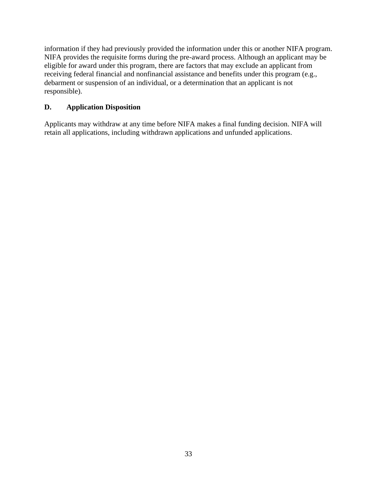information if they had previously provided the information under this or another NIFA program. NIFA provides the requisite forms during the pre-award process. Although an applicant may be eligible for award under this program, there are factors that may exclude an applicant from receiving federal financial and nonfinancial assistance and benefits under this program (e.g., debarment or suspension of an individual, or a determination that an applicant is not responsible).

# <span id="page-32-0"></span>**D. Application Disposition**

Applicants may withdraw at any time before NIFA makes a final funding decision. NIFA will retain all applications, including withdrawn applications and unfunded applications.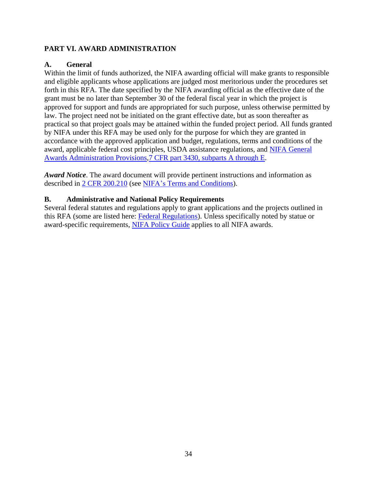## <span id="page-33-0"></span>**PART VI. AWARD ADMINISTRATION**

## <span id="page-33-1"></span>**A. General**

Within the limit of funds authorized, the NIFA awarding official will make grants to responsible and eligible applicants whose applications are judged most meritorious under the procedures set forth in this RFA. The date specified by the NIFA awarding official as the effective date of the grant must be no later than September 30 of the federal fiscal year in which the project is approved for support and funds are appropriated for such purpose, unless otherwise permitted by law. The project need not be initiated on the grant effective date, but as soon thereafter as practical so that project goals may be attained within the funded project period. All funds granted by NIFA under this RFA may be used only for the purpose for which they are granted in accordance with the approved application and budget, regulations, terms and conditions of the award, applicable federal cost principles, USDA assistance regulations, and [NIFA General](https://ecfr.io/Title-07/pt7.15.3430)  [Awards Administration Provisions,7 CFR part 3430, subparts A through E.](https://ecfr.io/Title-07/pt7.15.3430)

*Award Notice*. The award document will provide pertinent instructions and information as described in [2 CFR 200.210](https://www.ecfr.gov/cgi-bin/text-idx?SID=70b44cfc44976f4a7742464f7cfbb37e&mc=true&node=se2.1.200_1210&rgn=div8) (see [NIFA's Terms and Conditions\)](https://nifa.usda.gov/terms-and-conditions).

## <span id="page-33-2"></span>**B. Administrative and National Policy Requirements**

Several federal statutes and regulations apply to grant applications and the projects outlined in this RFA (some are listed here: [Federal Regulations\)](https://nifa.usda.gov/federal-regulations). Unless specifically noted by statue or award-specific requirements, [NIFA Policy Guide](https://nifa.usda.gov/policy-guide) applies to all NIFA awards.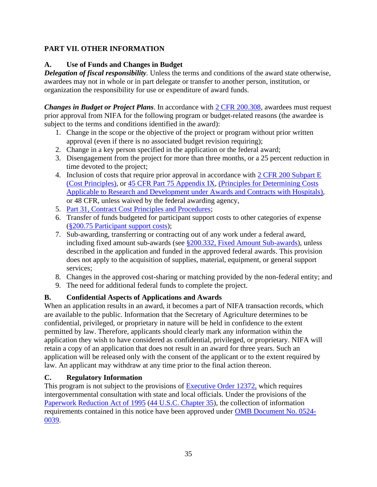# <span id="page-34-0"></span>**PART VII. OTHER INFORMATION**

# <span id="page-34-1"></span>**A. Use of Funds and Changes in Budget**

*Delegation of fiscal responsibility.* Unless the terms and conditions of the award state otherwise, awardees may not in whole or in part delegate or transfer to another person, institution, or organization the responsibility for use or expenditure of award funds.

*Changes in Budget or Project Plans.* In accordance with  $2$  CFR 200.308, awardees must request prior approval from NIFA for the following program or budget-related reasons (the awardee is subject to the terms and conditions identified in the award):

- 1. Change in the scope or the objective of the project or program without prior written approval (even if there is no associated budget revision requiring);
- 2. Change in a key person specified in the application or the federal award;
- 3. Disengagement from the project for more than three months, or a 25 percent reduction in time devoted to the project;
- 4. Inclusion of costs that require prior approval in accordance with [2 CFR 200 Subpart E](https://ecfr.io/Title-02/sp2.1.200.) [\(Cost Principles\),](https://ecfr.io/Title-02/sp2.1.200.) or [45 CFR Part 75 Appendix IX,](https://www.ecfr.gov/cgi-bin/text-idx?node=pt45.1.75#ap45.1.75_1521.ix) [\(Principles for Determining Costs](https://www.ecfr.gov/cgi-bin/text-idx?node=pt45.1.75#ap45.1.75_1521.ix)  Applicable to [Research and Development under Awards and Contracts with Hospitals\)](https://www.ecfr.gov/cgi-bin/text-idx?node=pt45.1.75#ap45.1.75_1521.ix), or 48 CFR, unless waived by the federal awarding agency,
- 5. Part 31, [Contract Cost Principles and Procedures;](https://ecfr.io/Title-48/pt48.1.31)
- 6. Transfer of funds budgeted for participant support costs to other categories of expense (§200.75 [Participant support costs\)](http://federal.elaws.us/cfr/title2.section200.75);
- 7. Sub-awarding, transferring or contracting out of any work under a federal award, including fixed amount sub-awards (see §200.332, [Fixed Amount](http://federal.elaws.us/cfr/title2.part200.section200.332) Sub-awards), unless described in the application and funded in the approved federal awards. This provision does not apply to the acquisition of supplies, material, equipment, or general support services;
- 8. Changes in the approved cost-sharing or matching provided by the non-federal entity; and
- 9. The need for additional federal funds to complete the project.

# <span id="page-34-2"></span>**B. Confidential Aspects of Applications and Awards**

When an application results in an award, it becomes a part of NIFA transaction records, which are available to the public. Information that the Secretary of Agriculture determines to be confidential, privileged, or proprietary in nature will be held in confidence to the extent permitted by law. Therefore, applicants should clearly mark any information within the application they wish to have considered as confidential, privileged, or proprietary. NIFA will retain a copy of an application that does not result in an award for three years. Such an application will be released only with the consent of the applicant or to the extent required by law. An applicant may withdraw at any time prior to the final action thereon.

## <span id="page-34-3"></span>**C. Regulatory Information**

This program is not subject to the provisions of [Executive Order 12372,](https://www.fws.gov/policy/library/rgeo12372.pdf) which requires intergovernmental consultation with state and local officials. Under the provisions of the [Paperwork Reduction Act of 1995](https://www.reginfo.gov/public/reginfo/pra.pdf) [\(44 U.S.C. Chapter 35\)](http://uscode.house.gov/view.xhtml?path=/prelim@title44/chapter35&edition=prelim), the collection of information requirements contained in this notice have been approved under [OMB Document No. 0524-](https://www.federalregister.gov/documents/2018/10/29/2018-23552/submission-for-omb-review-comment-request) [0039.](https://www.federalregister.gov/documents/2018/10/29/2018-23552/submission-for-omb-review-comment-request)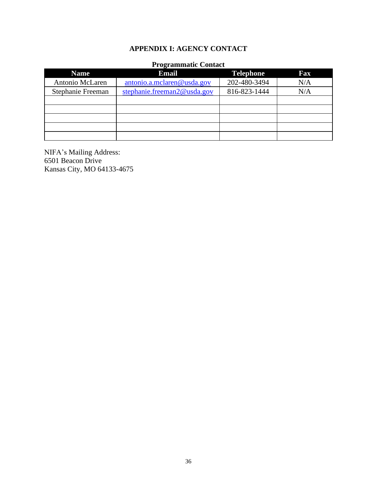# **APPENDIX I: AGENCY CONTACT**

#### **Programmatic Contact**

<span id="page-35-0"></span>

| <b>Name</b>       | ີ<br><b>Email</b>           | <b>Telephone</b> | Fax |
|-------------------|-----------------------------|------------------|-----|
| Antonio McLaren   | antonio.a.mclaren@usda.gov  | 202-480-3494     | N/A |
| Stephanie Freeman | stephanie.freeman2@usda.gov | 816-823-1444     | N/A |
|                   |                             |                  |     |
|                   |                             |                  |     |
|                   |                             |                  |     |
|                   |                             |                  |     |
|                   |                             |                  |     |

NIFA's Mailing Address: 6501 Beacon Drive Kansas City, MO 64133-4675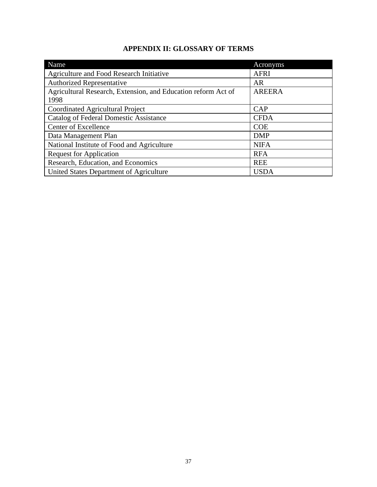# **APPENDIX II: GLOSSARY OF TERMS**

<span id="page-36-0"></span>

| Name                                                          | Acronyms      |
|---------------------------------------------------------------|---------------|
| Agriculture and Food Research Initiative                      | <b>AFRI</b>   |
| <b>Authorized Representative</b>                              | AR            |
| Agricultural Research, Extension, and Education reform Act of | <b>AREERA</b> |
| 1998                                                          |               |
| Coordinated Agricultural Project                              | CAP           |
| Catalog of Federal Domestic Assistance                        | <b>CFDA</b>   |
| Center of Excellence                                          | <b>COE</b>    |
| Data Management Plan                                          | <b>DMP</b>    |
| National Institute of Food and Agriculture                    | <b>NIFA</b>   |
| <b>Request for Application</b>                                | <b>RFA</b>    |
| Research, Education, and Economics                            | <b>REE</b>    |
| United States Department of Agriculture                       | <b>USDA</b>   |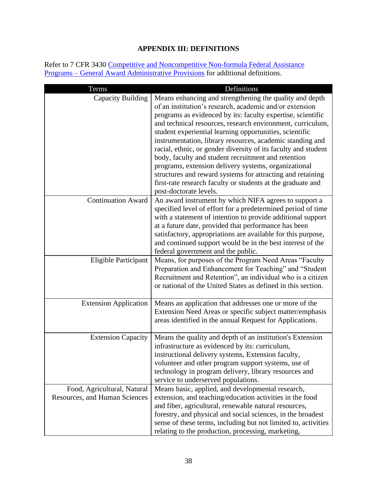# **APPENDIX III: DEFINITIONS**

<span id="page-37-0"></span>Refer to 7 CFR 3430 Competitive and Noncompetitive Non-formula Federal Assistance Programs – [General Award Administrative Provisions](https://www.ecfr.gov/cgi-bin/text-idx?c=ecfr&SID=2a6f6bfbef4c918616eebe5353d0793c&rgn=div5&view=text&node=7:15.1.12.2.13&idno=7#7:15.1.12.2.13.1.17.2) for additional definitions.

| Terms                                                        | Definitions                                                                                                                                                                                                                                                                                                                                                                                                                                                                                                                                                                                                                                                                                                     |
|--------------------------------------------------------------|-----------------------------------------------------------------------------------------------------------------------------------------------------------------------------------------------------------------------------------------------------------------------------------------------------------------------------------------------------------------------------------------------------------------------------------------------------------------------------------------------------------------------------------------------------------------------------------------------------------------------------------------------------------------------------------------------------------------|
| Capacity Building                                            | Means enhancing and strengthening the quality and depth<br>of an institution's research, academic and/or extension<br>programs as evidenced by its: faculty expertise, scientific<br>and technical resources, research environment, curriculum,<br>student experiential learning opportunities, scientific<br>instrumentation, library resources, academic standing and<br>racial, ethnic, or gender diversity of its faculty and student<br>body, faculty and student recruitment and retention<br>programs, extension delivery systems, organizational<br>structures and reward systems for attracting and retaining<br>first-rate research faculty or students at the graduate and<br>post-doctorate levels. |
| <b>Continuation Award</b>                                    | An award instrument by which NIFA agrees to support a<br>specified level of effort for a predetermined period of time<br>with a statement of intention to provide additional support<br>at a future date, provided that performance has been<br>satisfactory, appropriations are available for this purpose,<br>and continued support would be in the best interest of the<br>federal government and the public.                                                                                                                                                                                                                                                                                                |
| Eligible Participant                                         | Means, for purposes of the Program Need Areas "Faculty<br>Preparation and Enhancement for Teaching" and "Student<br>Recruitment and Retention", an individual who is a citizen<br>or national of the United States as defined in this section.                                                                                                                                                                                                                                                                                                                                                                                                                                                                  |
| <b>Extension Application</b>                                 | Means an application that addresses one or more of the<br>Extension Need Areas or specific subject matter/emphasis<br>areas identified in the annual Request for Applications.                                                                                                                                                                                                                                                                                                                                                                                                                                                                                                                                  |
| <b>Extension Capacity</b>                                    | Means the quality and depth of an institution's Extension<br>infrastructure as evidenced by its: curriculum,<br>instructional delivery systems, Extension faculty,<br>volunteer and other program support systems, use of<br>technology in program delivery, library resources and<br>service to underserved populations.                                                                                                                                                                                                                                                                                                                                                                                       |
| Food, Agricultural, Natural<br>Resources, and Human Sciences | Means basic, applied, and developmental research,<br>extension, and teaching/education activities in the food<br>and fiber, agricultural, renewable natural resources,<br>forestry, and physical and social sciences, in the broadest<br>sense of these terms, including but not limited to, activities<br>relating to the production, processing, marketing,                                                                                                                                                                                                                                                                                                                                                   |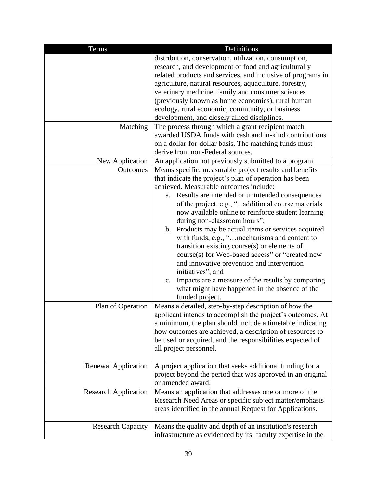| Terms                                   | Definitions                                                                                                                                                                                                                                                                                                                                                                                                                                                                                                                                                                                                                                                                                                                                                                                                                                                                                                                                   |
|-----------------------------------------|-----------------------------------------------------------------------------------------------------------------------------------------------------------------------------------------------------------------------------------------------------------------------------------------------------------------------------------------------------------------------------------------------------------------------------------------------------------------------------------------------------------------------------------------------------------------------------------------------------------------------------------------------------------------------------------------------------------------------------------------------------------------------------------------------------------------------------------------------------------------------------------------------------------------------------------------------|
| Matching<br>New Application<br>Outcomes | distribution, conservation, utilization, consumption,<br>research, and development of food and agriculturally<br>related products and services, and inclusive of programs in<br>agriculture, natural resources, aquaculture, forestry,<br>veterinary medicine, family and consumer sciences<br>(previously known as home economics), rural human<br>ecology, rural economic, community, or business<br>development, and closely allied disciplines.<br>The process through which a grant recipient match<br>awarded USDA funds with cash and in-kind contributions<br>on a dollar-for-dollar basis. The matching funds must<br>derive from non-Federal sources.<br>An application not previously submitted to a program.<br>Means specific, measurable project results and benefits<br>that indicate the project's plan of operation has been<br>achieved. Measurable outcomes include:<br>a. Results are intended or unintended consequences |
|                                         | of the project, e.g., "additional course materials<br>now available online to reinforce student learning<br>during non-classroom hours";<br>b. Products may be actual items or services acquired<br>with funds, e.g., "mechanisms and content to<br>transition existing course(s) or elements of<br>course(s) for Web-based access" or "created new<br>and innovative prevention and intervention<br>initiatives"; and<br>Impacts are a measure of the results by comparing<br>c.<br>what might have happened in the absence of the<br>funded project.                                                                                                                                                                                                                                                                                                                                                                                        |
| Plan of Operation                       | Means a detailed, step-by-step description of how the<br>applicant intends to accomplish the project's outcomes. At<br>a minimum, the plan should include a timetable indicating<br>how outcomes are achieved, a description of resources to<br>be used or acquired, and the responsibilities expected of<br>all project personnel.                                                                                                                                                                                                                                                                                                                                                                                                                                                                                                                                                                                                           |
| Renewal Application                     | A project application that seeks additional funding for a<br>project beyond the period that was approved in an original<br>or amended award.                                                                                                                                                                                                                                                                                                                                                                                                                                                                                                                                                                                                                                                                                                                                                                                                  |
| <b>Research Application</b>             | Means an application that addresses one or more of the<br>Research Need Areas or specific subject matter/emphasis<br>areas identified in the annual Request for Applications.                                                                                                                                                                                                                                                                                                                                                                                                                                                                                                                                                                                                                                                                                                                                                                 |
| <b>Research Capacity</b>                | Means the quality and depth of an institution's research<br>infrastructure as evidenced by its: faculty expertise in the                                                                                                                                                                                                                                                                                                                                                                                                                                                                                                                                                                                                                                                                                                                                                                                                                      |